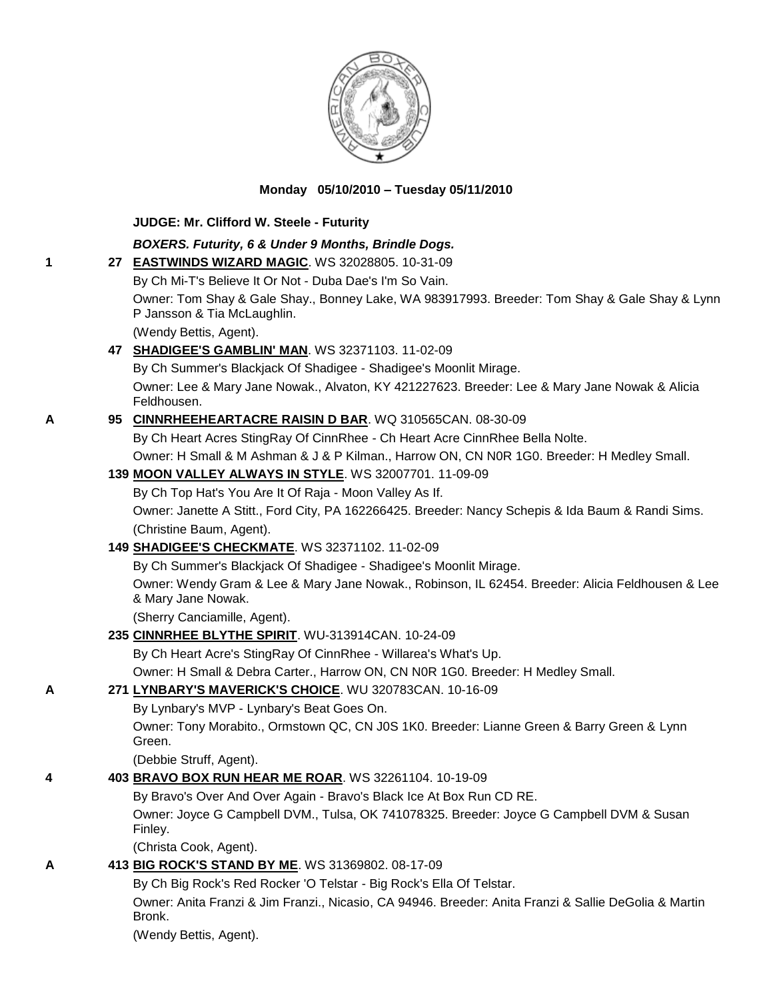

**Monday 05/10/2010 – Tuesday 05/11/2010**

|   | JUDGE: Mr. Clifford W. Steele - Futurity                                                                                     |
|---|------------------------------------------------------------------------------------------------------------------------------|
|   | BOXERS. Futurity, 6 & Under 9 Months, Brindle Dogs.                                                                          |
| 1 | 27 EASTWINDS WIZARD MAGIC. WS 32028805. 10-31-09                                                                             |
|   | By Ch Mi-T's Believe It Or Not - Duba Dae's I'm So Vain.                                                                     |
|   | Owner: Tom Shay & Gale Shay., Bonney Lake, WA 983917993. Breeder: Tom Shay & Gale Shay & Lynn<br>P Jansson & Tia McLaughlin. |
|   | (Wendy Bettis, Agent).                                                                                                       |
|   | 47 SHADIGEE'S GAMBLIN' MAN. WS 32371103. 11-02-09                                                                            |
|   | By Ch Summer's Blackjack Of Shadigee - Shadigee's Moonlit Mirage.                                                            |
|   | Owner: Lee & Mary Jane Nowak., Alvaton, KY 421227623. Breeder: Lee & Mary Jane Nowak & Alicia<br>Feldhousen.                 |
| A | 95 CINNRHEEHEARTACRE RAISIN D BAR. WQ 310565CAN. 08-30-09                                                                    |
|   | By Ch Heart Acres StingRay Of CinnRhee - Ch Heart Acre CinnRhee Bella Nolte.                                                 |
|   | Owner: H Small & M Ashman & J & P Kilman., Harrow ON, CN N0R 1G0. Breeder: H Medley Small.                                   |
|   | 139 MOON VALLEY ALWAYS IN STYLE. WS 32007701. 11-09-09                                                                       |
|   | By Ch Top Hat's You Are It Of Raja - Moon Valley As If.                                                                      |
|   | Owner: Janette A Stitt., Ford City, PA 162266425. Breeder: Nancy Schepis & Ida Baum & Randi Sims.                            |
|   | (Christine Baum, Agent).                                                                                                     |
|   | 149 SHADIGEE'S CHECKMATE. WS 32371102. 11-02-09                                                                              |
|   | By Ch Summer's Blackjack Of Shadigee - Shadigee's Moonlit Mirage.                                                            |
|   | Owner: Wendy Gram & Lee & Mary Jane Nowak., Robinson, IL 62454. Breeder: Alicia Feldhousen & Lee<br>& Mary Jane Nowak.       |
|   | (Sherry Canciamille, Agent).                                                                                                 |
|   | 235 CINNRHEE BLYTHE SPIRIT. WU-313914CAN. 10-24-09                                                                           |
|   | By Ch Heart Acre's StingRay Of CinnRhee - Willarea's What's Up.                                                              |
|   | Owner: H Small & Debra Carter., Harrow ON, CN N0R 1G0. Breeder: H Medley Small.                                              |
| A | 271 LYNBARY'S MAVERICK'S CHOICE. WU 320783CAN. 10-16-09                                                                      |
|   | By Lynbary's MVP - Lynbary's Beat Goes On.                                                                                   |
|   | Owner: Tony Morabito., Ormstown QC, CN J0S 1K0. Breeder: Lianne Green & Barry Green & Lynn<br>Green.                         |
|   | (Debbie Struff, Agent).                                                                                                      |
| 4 | 403 BRAVO BOX RUN HEAR ME ROAR. WS 32261104. 10-19-09                                                                        |
|   | By Bravo's Over And Over Again - Bravo's Black Ice At Box Run CD RE.                                                         |
|   | Owner: Joyce G Campbell DVM., Tulsa, OK 741078325. Breeder: Joyce G Campbell DVM & Susan<br>Finley.                          |
|   | (Christa Cook, Agent).                                                                                                       |
| A | 413 BIG ROCK'S STAND BY ME. WS 31369802. 08-17-09                                                                            |
|   | By Ch Big Rock's Red Rocker 'O Telstar - Big Rock's Ella Of Telstar.                                                         |
|   | Owner: Anita Franzi & Jim Franzi., Nicasio, CA 94946. Breeder: Anita Franzi & Sallie DeGolia & Martin<br>Bronk.              |

(Wendy Bettis, Agent).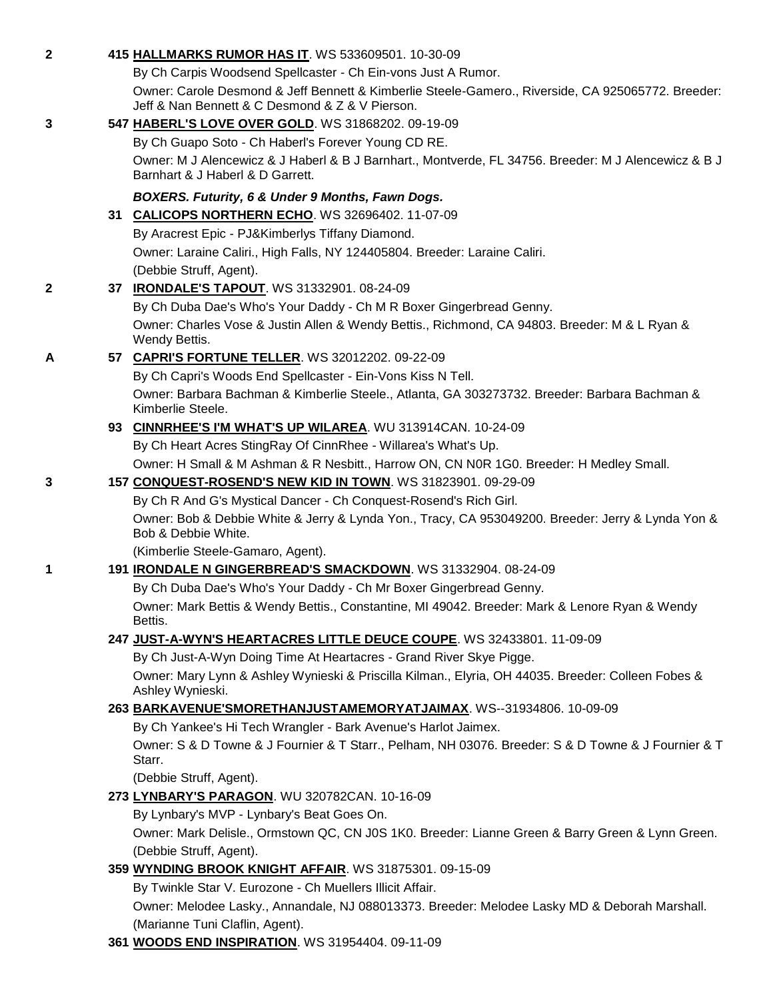| $\overline{2}$ | 415 HALLMARKS RUMOR HAS IT. WS 533609501. 10-30-09                                                                                                    |
|----------------|-------------------------------------------------------------------------------------------------------------------------------------------------------|
|                | By Ch Carpis Woodsend Spellcaster - Ch Ein-vons Just A Rumor.                                                                                         |
|                | Owner: Carole Desmond & Jeff Bennett & Kimberlie Steele-Gamero., Riverside, CA 925065772. Breeder:<br>Jeff & Nan Bennett & C Desmond & Z & V Pierson. |
| 3              | 547 HABERL'S LOVE OVER GOLD. WS 31868202. 09-19-09                                                                                                    |
|                | By Ch Guapo Soto - Ch Haberl's Forever Young CD RE.                                                                                                   |
|                | Owner: M J Alencewicz & J Haberl & B J Barnhart., Montverde, FL 34756. Breeder: M J Alencewicz & B J<br>Barnhart & J Haberl & D Garrett.              |
|                | BOXERS. Futurity, 6 & Under 9 Months, Fawn Dogs.                                                                                                      |
|                | 31 CALICOPS NORTHERN ECHO. WS 32696402. 11-07-09                                                                                                      |
|                | By Aracrest Epic - PJ&Kimberlys Tiffany Diamond.                                                                                                      |
|                | Owner: Laraine Caliri., High Falls, NY 124405804. Breeder: Laraine Caliri.                                                                            |
|                | (Debbie Struff, Agent).                                                                                                                               |
| $\mathbf{2}$   | 37 IRONDALE'S TAPOUT. WS 31332901. 08-24-09                                                                                                           |
|                | By Ch Duba Dae's Who's Your Daddy - Ch M R Boxer Gingerbread Genny.                                                                                   |
|                | Owner: Charles Vose & Justin Allen & Wendy Bettis., Richmond, CA 94803. Breeder: M & L Ryan &<br>Wendy Bettis.                                        |
| A              | 57 CAPRI'S FORTUNE TELLER. WS 32012202. 09-22-09                                                                                                      |
|                | By Ch Capri's Woods End Spellcaster - Ein-Vons Kiss N Tell.                                                                                           |
|                | Owner: Barbara Bachman & Kimberlie Steele., Atlanta, GA 303273732. Breeder: Barbara Bachman &<br>Kimberlie Steele.                                    |
|                | 93 CINNRHEE'S I'M WHAT'S UP WILAREA. WU 313914CAN. 10-24-09                                                                                           |
|                | By Ch Heart Acres StingRay Of CinnRhee - Willarea's What's Up.                                                                                        |
|                | Owner: H Small & M Ashman & R Nesbitt., Harrow ON, CN N0R 1G0. Breeder: H Medley Small.                                                               |
| 3              | 157 CONQUEST-ROSEND'S NEW KID IN TOWN. WS 31823901. 09-29-09                                                                                          |
|                | By Ch R And G's Mystical Dancer - Ch Conquest-Rosend's Rich Girl.                                                                                     |
|                | Owner: Bob & Debbie White & Jerry & Lynda Yon., Tracy, CA 953049200. Breeder: Jerry & Lynda Yon &<br>Bob & Debbie White.                              |
|                | (Kimberlie Steele-Gamaro, Agent).                                                                                                                     |
| 1              | 191 <b>IRONDALE N GINGERBREAD'S SMACKDOWN</b> . WS 31332904. 08-24-09                                                                                 |
|                | By Ch Duba Dae's Who's Your Daddy - Ch Mr Boxer Gingerbread Genny.                                                                                    |
|                | Owner: Mark Bettis & Wendy Bettis., Constantine, MI 49042. Breeder: Mark & Lenore Ryan & Wendy<br>Bettis.                                             |
|                | 247 JUST-A-WYN'S HEARTACRES LITTLE DEUCE COUPE. WS 32433801. 11-09-09                                                                                 |
|                | By Ch Just-A-Wyn Doing Time At Heartacres - Grand River Skye Pigge.                                                                                   |
|                | Owner: Mary Lynn & Ashley Wynieski & Priscilla Kilman., Elyria, OH 44035. Breeder: Colleen Fobes &<br>Ashley Wynieski.                                |
|                | 263 BARKAVENUE'SMORETHANJUSTAMEMORYATJAIMAX. WS--31934806. 10-09-09                                                                                   |
|                | By Ch Yankee's Hi Tech Wrangler - Bark Avenue's Harlot Jaimex.                                                                                        |
|                | Owner: S & D Towne & J Fournier & T Starr., Pelham, NH 03076. Breeder: S & D Towne & J Fournier & T<br>Starr.                                         |
|                | (Debbie Struff, Agent).                                                                                                                               |
|                | 273 LYNBARY'S PARAGON. WU 320782CAN. 10-16-09                                                                                                         |
|                | By Lynbary's MVP - Lynbary's Beat Goes On.                                                                                                            |
|                | Owner: Mark Delisle., Ormstown QC, CN J0S 1K0. Breeder: Lianne Green & Barry Green & Lynn Green.                                                      |
|                | (Debbie Struff, Agent).                                                                                                                               |
|                | 359 WYNDING BROOK KNIGHT AFFAIR. WS 31875301. 09-15-09                                                                                                |
|                | By Twinkle Star V. Eurozone - Ch Muellers Illicit Affair.                                                                                             |
|                | Owner: Melodee Lasky., Annandale, NJ 088013373. Breeder: Melodee Lasky MD & Deborah Marshall.<br>(Marianne Tuni Claflin, Agent).                      |
|                | 361 WOODS END INSPIRATION. WS 31954404. 09-11-09                                                                                                      |
|                |                                                                                                                                                       |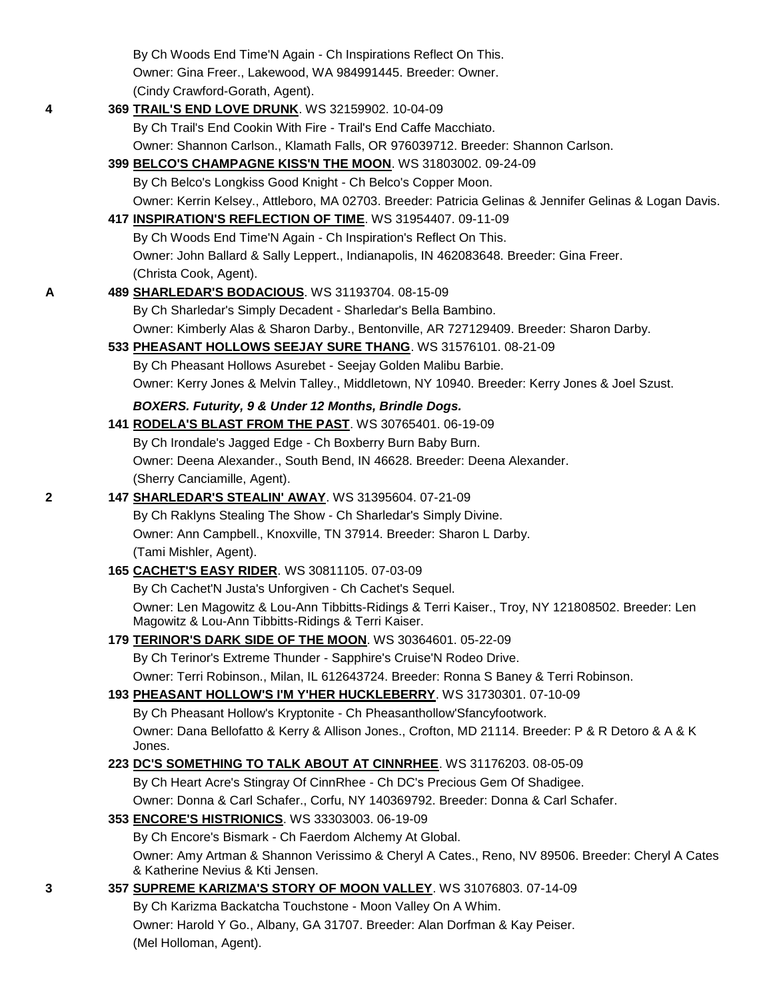|   | By Ch Woods End Time'N Again - Ch Inspirations Reflect On This.                                                                                         |  |
|---|---------------------------------------------------------------------------------------------------------------------------------------------------------|--|
|   | Owner: Gina Freer., Lakewood, WA 984991445. Breeder: Owner.                                                                                             |  |
|   | (Cindy Crawford-Gorath, Agent).                                                                                                                         |  |
| 4 | 369 TRAIL'S END LOVE DRUNK. WS 32159902. 10-04-09                                                                                                       |  |
|   | By Ch Trail's End Cookin With Fire - Trail's End Caffe Macchiato.                                                                                       |  |
|   | Owner: Shannon Carlson., Klamath Falls, OR 976039712. Breeder: Shannon Carlson.                                                                         |  |
|   | 399 BELCO'S CHAMPAGNE KISS'N THE MOON. WS 31803002. 09-24-09                                                                                            |  |
|   | By Ch Belco's Longkiss Good Knight - Ch Belco's Copper Moon.                                                                                            |  |
|   | Owner: Kerrin Kelsey., Attleboro, MA 02703. Breeder: Patricia Gelinas & Jennifer Gelinas & Logan Davis.                                                 |  |
|   | 417 INSPIRATION'S REFLECTION OF TIME. WS 31954407. 09-11-09                                                                                             |  |
|   | By Ch Woods End Time'N Again - Ch Inspiration's Reflect On This.                                                                                        |  |
|   | Owner: John Ballard & Sally Leppert., Indianapolis, IN 462083648. Breeder: Gina Freer.                                                                  |  |
|   | (Christa Cook, Agent).                                                                                                                                  |  |
| Α | 489 SHARLEDAR'S BODACIOUS. WS 31193704. 08-15-09                                                                                                        |  |
|   | By Ch Sharledar's Simply Decadent - Sharledar's Bella Bambino.                                                                                          |  |
|   | Owner: Kimberly Alas & Sharon Darby., Bentonville, AR 727129409. Breeder: Sharon Darby.                                                                 |  |
|   | 533 PHEASANT HOLLOWS SEEJAY SURE THANG. WS 31576101. 08-21-09                                                                                           |  |
|   | By Ch Pheasant Hollows Asurebet - Seejay Golden Malibu Barbie.                                                                                          |  |
|   | Owner: Kerry Jones & Melvin Talley., Middletown, NY 10940. Breeder: Kerry Jones & Joel Szust.                                                           |  |
|   | BOXERS. Futurity, 9 & Under 12 Months, Brindle Dogs.                                                                                                    |  |
|   | 141 RODELA'S BLAST FROM THE PAST. WS 30765401. 06-19-09                                                                                                 |  |
|   | By Ch Irondale's Jagged Edge - Ch Boxberry Burn Baby Burn.                                                                                              |  |
|   | Owner: Deena Alexander., South Bend, IN 46628. Breeder: Deena Alexander.                                                                                |  |
|   | (Sherry Canciamille, Agent).                                                                                                                            |  |
| 2 | 147 SHARLEDAR'S STEALIN' AWAY. WS 31395604. 07-21-09                                                                                                    |  |
|   | By Ch Raklyns Stealing The Show - Ch Sharledar's Simply Divine.                                                                                         |  |
|   | Owner: Ann Campbell., Knoxville, TN 37914. Breeder: Sharon L Darby.                                                                                     |  |
|   | (Tami Mishler, Agent).                                                                                                                                  |  |
|   | 165 CACHET'S EASY RIDER. WS 30811105. 07-03-09                                                                                                          |  |
|   | By Ch Cachet'N Justa's Unforgiven - Ch Cachet's Sequel.                                                                                                 |  |
|   | Owner: Len Magowitz & Lou-Ann Tibbitts-Ridings & Terri Kaiser., Troy, NY 121808502. Breeder: Len<br>Magowitz & Lou-Ann Tibbitts-Ridings & Terri Kaiser. |  |
|   | 179 TERINOR'S DARK SIDE OF THE MOON. WS 30364601. 05-22-09                                                                                              |  |
|   | By Ch Terinor's Extreme Thunder - Sapphire's Cruise'N Rodeo Drive.                                                                                      |  |
|   | Owner: Terri Robinson., Milan, IL 612643724. Breeder: Ronna S Baney & Terri Robinson.                                                                   |  |
|   | 193 PHEASANT HOLLOW'S I'M Y'HER HUCKLEBERRY. WS 31730301. 07-10-09                                                                                      |  |
|   | By Ch Pheasant Hollow's Kryptonite - Ch Pheasanthollow'Sfancyfootwork.                                                                                  |  |
|   | Owner: Dana Bellofatto & Kerry & Allison Jones., Crofton, MD 21114. Breeder: P & R Detoro & A & K                                                       |  |
|   | Jones.                                                                                                                                                  |  |
|   | 223 DC'S SOMETHING TO TALK ABOUT AT CINNRHEE. WS 31176203. 08-05-09                                                                                     |  |
|   | By Ch Heart Acre's Stingray Of CinnRhee - Ch DC's Precious Gem Of Shadigee.                                                                             |  |
|   | Owner: Donna & Carl Schafer., Corfu, NY 140369792. Breeder: Donna & Carl Schafer.                                                                       |  |
|   | 353 ENCORE'S HISTRIONICS. WS 33303003. 06-19-09                                                                                                         |  |
|   | By Ch Encore's Bismark - Ch Faerdom Alchemy At Global.                                                                                                  |  |
|   | Owner: Amy Artman & Shannon Verissimo & Cheryl A Cates., Reno, NV 89506. Breeder: Cheryl A Cates<br>& Katherine Nevius & Kti Jensen.                    |  |
| 3 | 357 SUPREME KARIZMA'S STORY OF MOON VALLEY. WS 31076803. 07-14-09                                                                                       |  |
|   | By Ch Karizma Backatcha Touchstone - Moon Valley On A Whim.                                                                                             |  |
|   | Owner: Harold Y Go., Albany, GA 31707. Breeder: Alan Dorfman & Kay Peiser.                                                                              |  |
|   | (Mel Holloman, Agent).                                                                                                                                  |  |
|   |                                                                                                                                                         |  |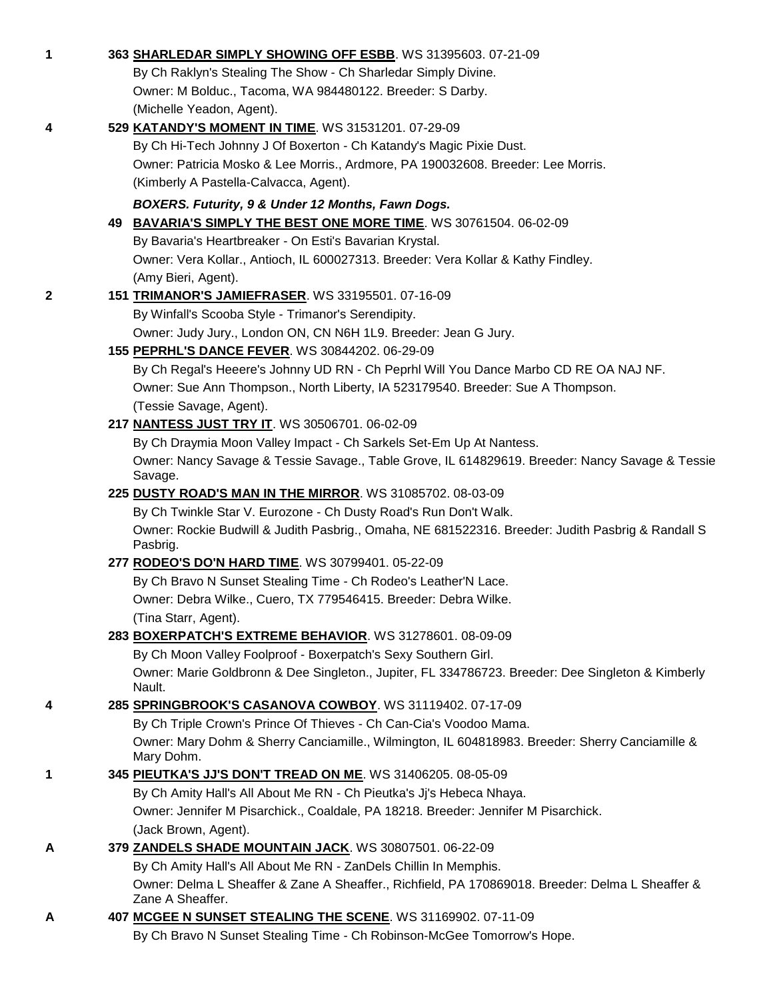| $\mathbf 1$  | 363 SHARLEDAR SIMPLY SHOWING OFF ESBB. WS 31395603. 07-21-09                                                         |
|--------------|----------------------------------------------------------------------------------------------------------------------|
|              | By Ch Raklyn's Stealing The Show - Ch Sharledar Simply Divine.                                                       |
|              | Owner: M Bolduc., Tacoma, WA 984480122. Breeder: S Darby.                                                            |
|              | (Michelle Yeadon, Agent).                                                                                            |
| 4            | 529 KATANDY'S MOMENT IN TIME. WS 31531201. 07-29-09                                                                  |
|              | By Ch Hi-Tech Johnny J Of Boxerton - Ch Katandy's Magic Pixie Dust.                                                  |
|              | Owner: Patricia Mosko & Lee Morris., Ardmore, PA 190032608. Breeder: Lee Morris.                                     |
|              | (Kimberly A Pastella-Calvacca, Agent).                                                                               |
|              | BOXERS. Futurity, 9 & Under 12 Months, Fawn Dogs.                                                                    |
|              | 49 BAVARIA'S SIMPLY THE BEST ONE MORE TIME. WS 30761504. 06-02-09                                                    |
|              | By Bavaria's Heartbreaker - On Esti's Bavarian Krystal.                                                              |
|              | Owner: Vera Kollar., Antioch, IL 600027313. Breeder: Vera Kollar & Kathy Findley.                                    |
|              | (Amy Bieri, Agent).                                                                                                  |
| $\mathbf{2}$ | 151 TRIMANOR'S JAMIEFRASER. WS 33195501. 07-16-09                                                                    |
|              | By Winfall's Scooba Style - Trimanor's Serendipity.                                                                  |
|              | Owner: Judy Jury., London ON, CN N6H 1L9. Breeder: Jean G Jury.                                                      |
|              | 155 PEPRHL'S DANCE FEVER. WS 30844202. 06-29-09                                                                      |
|              | By Ch Regal's Heeere's Johnny UD RN - Ch Peprhl Will You Dance Marbo CD RE OA NAJ NF.                                |
|              | Owner: Sue Ann Thompson., North Liberty, IA 523179540. Breeder: Sue A Thompson.                                      |
|              | (Tessie Savage, Agent).                                                                                              |
|              | 217 NANTESS JUST TRY IT. WS 30506701. 06-02-09                                                                       |
|              | By Ch Draymia Moon Valley Impact - Ch Sarkels Set-Em Up At Nantess.                                                  |
|              | Owner: Nancy Savage & Tessie Savage., Table Grove, IL 614829619. Breeder: Nancy Savage & Tessie<br>Savage.           |
|              | 225 DUSTY ROAD'S MAN IN THE MIRROR. WS 31085702. 08-03-09                                                            |
|              | By Ch Twinkle Star V. Eurozone - Ch Dusty Road's Run Don't Walk.                                                     |
|              | Owner: Rockie Budwill & Judith Pasbrig., Omaha, NE 681522316. Breeder: Judith Pasbrig & Randall S                    |
|              | Pasbrig.                                                                                                             |
|              | 277 RODEO'S DO'N HARD TIME. WS 30799401. 05-22-09                                                                    |
|              | By Ch Bravo N Sunset Stealing Time - Ch Rodeo's Leather'N Lace.                                                      |
|              | Owner: Debra Wilke., Cuero, TX 779546415. Breeder: Debra Wilke.                                                      |
|              | (Tina Starr, Agent).                                                                                                 |
|              | 283 BOXERPATCH'S EXTREME BEHAVIOR. WS 31278601. 08-09-09                                                             |
|              | By Ch Moon Valley Foolproof - Boxerpatch's Sexy Southern Girl.                                                       |
|              | Owner: Marie Goldbronn & Dee Singleton., Jupiter, FL 334786723. Breeder: Dee Singleton & Kimberly<br>Nault.          |
| 4            | 285 SPRINGBROOK'S CASANOVA COWBOY. WS 31119402. 07-17-09                                                             |
|              | By Ch Triple Crown's Prince Of Thieves - Ch Can-Cia's Voodoo Mama.                                                   |
|              | Owner: Mary Dohm & Sherry Canciamille., Wilmington, IL 604818983. Breeder: Sherry Canciamille &                      |
|              | Mary Dohm.                                                                                                           |
| 1            | 345 PIEUTKA'S JJ'S DON'T TREAD ON ME. WS 31406205. 08-05-09                                                          |
|              | By Ch Amity Hall's All About Me RN - Ch Pieutka's Jj's Hebeca Nhaya.                                                 |
|              | Owner: Jennifer M Pisarchick., Coaldale, PA 18218. Breeder: Jennifer M Pisarchick.                                   |
|              | (Jack Brown, Agent).                                                                                                 |
| A            | 379 ZANDELS SHADE MOUNTAIN JACK. WS 30807501. 06-22-09                                                               |
|              | By Ch Amity Hall's All About Me RN - ZanDels Chillin In Memphis.                                                     |
|              | Owner: Delma L Sheaffer & Zane A Sheaffer., Richfield, PA 170869018. Breeder: Delma L Sheaffer &<br>Zane A Sheaffer. |
| A            | 407 MCGEE N SUNSET STEALING THE SCENE. WS 31169902. 07-11-09                                                         |
|              | By Ch Bravo N Sunset Stealing Time - Ch Robinson-McGee Tomorrow's Hope.                                              |
|              |                                                                                                                      |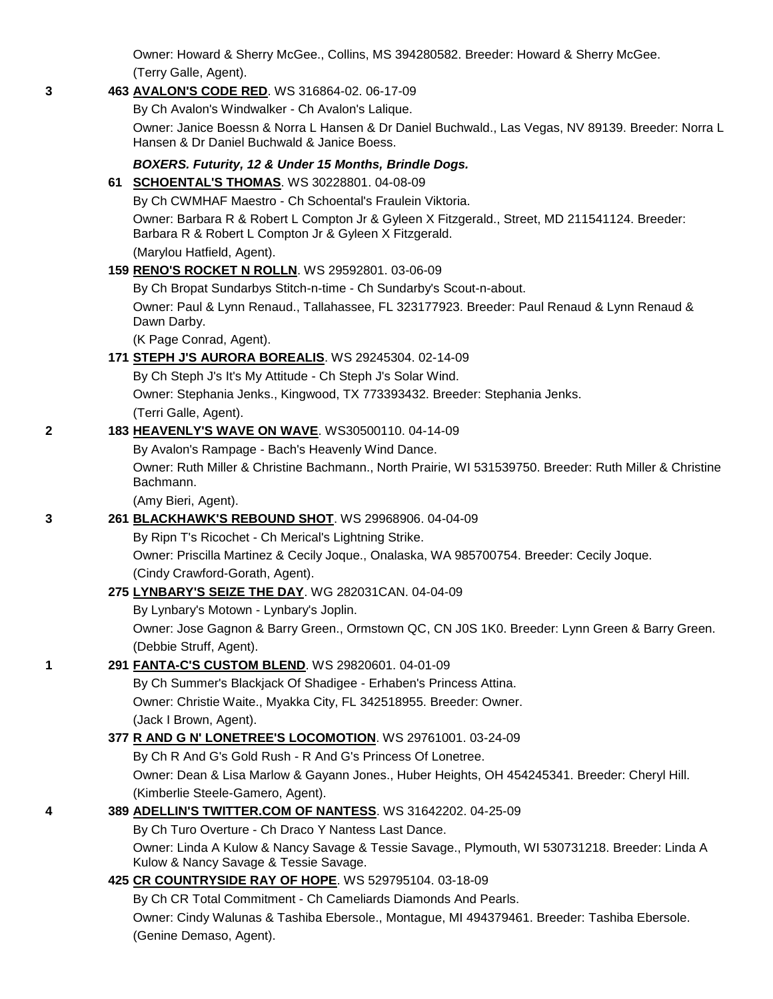Owner: Howard & Sherry McGee., Collins, MS 394280582. Breeder: Howard & Sherry McGee. (Terry Galle, Agent).

#### **3 463 [AVALON'S CODE RED](http://canis.infodog.com/files/bdogrsl1.prg;makc=WS_316864-02;mdog=Avalon_s_Code_Red;wins=all)**. WS 316864-02. 06-17-09

By Ch Avalon's Windwalker - Ch Avalon's Lalique.

Owner: Janice Boessn & Norra L Hansen & Dr Daniel Buchwald., Las Vegas, NV 89139. Breeder: Norra L Hansen & Dr Daniel Buchwald & Janice Boess.

## *BOXERS. Futurity, 12 & Under 15 Months, Brindle Dogs.*

#### **61 [SCHOENTAL'S THOMAS](http://canis.infodog.com/files/bdogrsl1.prg;makc=WS_30228801;mdog=Schoental_s_Thomas;wins=all)**. WS 30228801. 04-08-09

By Ch CWMHAF Maestro - Ch Schoental's Fraulein Viktoria.

Owner: Barbara R & Robert L Compton Jr & Gyleen X Fitzgerald., Street, MD 211541124. Breeder: Barbara R & Robert L Compton Jr & Gyleen X Fitzgerald.

(Marylou Hatfield, Agent).

## **159 [RENO'S ROCKET N ROLLN](http://canis.infodog.com/files/bdogrsl1.prg;makc=WS_29592801;mdog=Reno_s_Rocket_N_Rolln;wins=all)**. WS 29592801. 03-06-09

By Ch Bropat Sundarbys Stitch-n-time - Ch Sundarby's Scout-n-about.

Owner: Paul & Lynn Renaud., Tallahassee, FL 323177923. Breeder: Paul Renaud & Lynn Renaud & Dawn Darby.

(K Page Conrad, Agent).

## **171 [STEPH J'S AURORA BOREALIS](http://canis.infodog.com/files/bdogrsl1.prg;makc=WS_29245304;mdog=Steph_J_s_Aurora_Borealis;wins=all)**. WS 29245304. 02-14-09

By Ch Steph J's It's My Attitude - Ch Steph J's Solar Wind.

Owner: Stephania Jenks., Kingwood, TX 773393432. Breeder: Stephania Jenks.

(Terri Galle, Agent).

#### **2 183 [HEAVENLY'S WAVE ON WAVE](http://canis.infodog.com/files/bdogrsl1.prg;makc=WS30500110;mdog=Heavenly_s_Wave_On_Wave;wins=all)**. WS30500110. 04-14-09

By Avalon's Rampage - Bach's Heavenly Wind Dance.

Owner: Ruth Miller & Christine Bachmann., North Prairie, WI 531539750. Breeder: Ruth Miller & Christine Bachmann.

(Amy Bieri, Agent).

## **3 261 [BLACKHAWK'S REBOUND SHOT](http://canis.infodog.com/files/bdogrsl1.prg;makc=WS_29968906;mdog=Blackhawk_s_Rebound_Shot;wins=all)**. WS 29968906. 04-04-09

By Ripn T's Ricochet - Ch Merical's Lightning Strike.

Owner: Priscilla Martinez & Cecily Joque., Onalaska, WA 985700754. Breeder: Cecily Joque. (Cindy Crawford-Gorath, Agent).

## **275 [LYNBARY'S SEIZE THE DAY](http://canis.infodog.com/files/bdogrsl1.prg;makc=WG_282031CAN;mdog=Lynbary_s_Seize_The_Day;wins=all)**. WG 282031CAN. 04-04-09

By Lynbary's Motown - Lynbary's Joplin.

Owner: Jose Gagnon & Barry Green., Ormstown QC, CN J0S 1K0. Breeder: Lynn Green & Barry Green. (Debbie Struff, Agent).

## **1 291 [FANTA-C'S CUSTOM BLEND](http://canis.infodog.com/files/bdogrsl1.prg;makc=WS_29820601;mdog=Fanta-C_s_Custom_Blend;wins=all)**. WS 29820601. 04-01-09

By Ch Summer's Blackjack Of Shadigee - Erhaben's Princess Attina. Owner: Christie Waite., Myakka City, FL 342518955. Breeder: Owner. (Jack I Brown, Agent).

## **377 [R AND G N' LONETREE'S LOCOMOTION](http://canis.infodog.com/files/bdogrsl1.prg;makc=WS_29761001;mdog=R_And_G_N__Lonetree_s_Locomotion;wins=all)**. WS 29761001. 03-24-09

By Ch R And G's Gold Rush - R And G's Princess Of Lonetree.

Owner: Dean & Lisa Marlow & Gayann Jones., Huber Heights, OH 454245341. Breeder: Cheryl Hill. (Kimberlie Steele-Gamero, Agent).

# **4 389 [ADELLIN'S TWITTER.COM OF NANTESS](http://canis.infodog.com/files/bdogrsl1.prg;makc=WS_31642202;mdog=Adellin_s_Twitter.Com_Of_Nantess;wins=all)**. WS 31642202. 04-25-09

By Ch Turo Overture - Ch Draco Y Nantess Last Dance.

Owner: Linda A Kulow & Nancy Savage & Tessie Savage., Plymouth, WI 530731218. Breeder: Linda A Kulow & Nancy Savage & Tessie Savage.

## **425 [CR COUNTRYSIDE RAY OF HOPE](http://canis.infodog.com/files/bdogrsl1.prg;makc=WS_529795104;mdog=CR_Countryside_Ray_Of_Hope;wins=all)**. WS 529795104. 03-18-09

By Ch CR Total Commitment - Ch Cameliards Diamonds And Pearls.

Owner: Cindy Walunas & Tashiba Ebersole., Montague, MI 494379461. Breeder: Tashiba Ebersole. (Genine Demaso, Agent).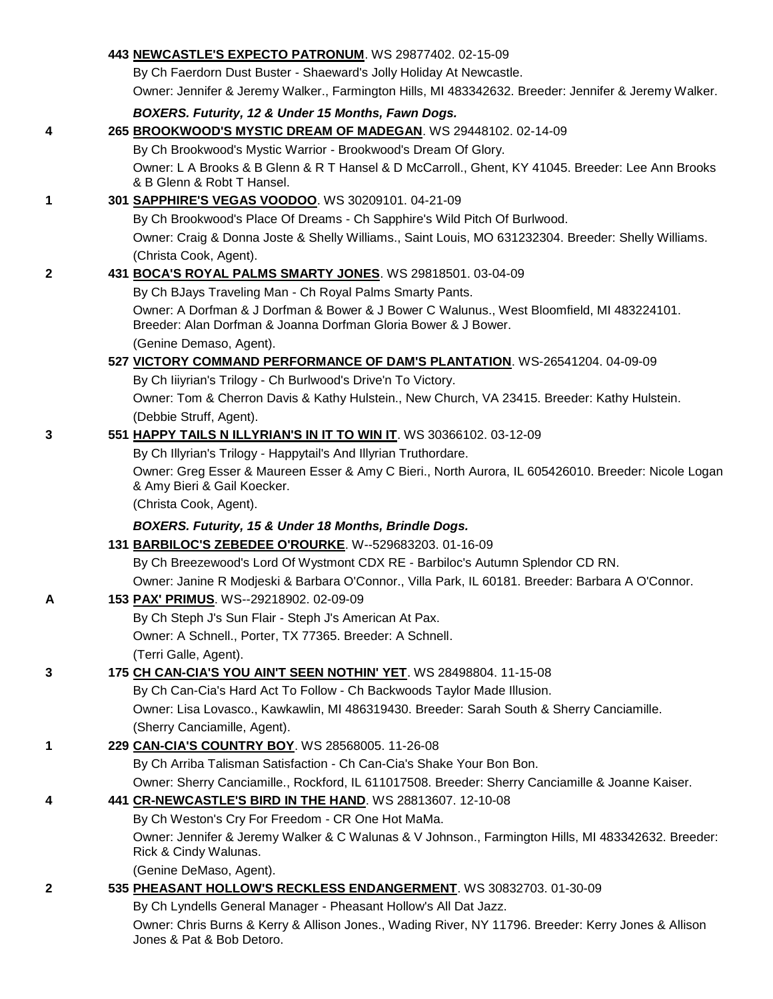|              | 443 NEWCASTLE'S EXPECTO PATRONUM. WS 29877402. 02-15-09                                                                                                      |
|--------------|--------------------------------------------------------------------------------------------------------------------------------------------------------------|
|              | By Ch Faerdorn Dust Buster - Shaeward's Jolly Holiday At Newcastle.                                                                                          |
|              | Owner: Jennifer & Jeremy Walker., Farmington Hills, MI 483342632. Breeder: Jennifer & Jeremy Walker.                                                         |
|              | BOXERS. Futurity, 12 & Under 15 Months, Fawn Dogs.                                                                                                           |
| 4            | 265 BROOKWOOD'S MYSTIC DREAM OF MADEGAN. WS 29448102. 02-14-09                                                                                               |
|              | By Ch Brookwood's Mystic Warrior - Brookwood's Dream Of Glory.                                                                                               |
|              | Owner: L A Brooks & B Glenn & R T Hansel & D McCarroll., Ghent, KY 41045. Breeder: Lee Ann Brooks<br>& B Glenn & Robt T Hansel.                              |
| 1            | 301 SAPPHIRE'S VEGAS VOODOO. WS 30209101. 04-21-09                                                                                                           |
|              | By Ch Brookwood's Place Of Dreams - Ch Sapphire's Wild Pitch Of Burlwood.                                                                                    |
|              | Owner: Craig & Donna Joste & Shelly Williams., Saint Louis, MO 631232304. Breeder: Shelly Williams.                                                          |
|              | (Christa Cook, Agent).                                                                                                                                       |
| $\mathbf{2}$ | 431 BOCA'S ROYAL PALMS SMARTY JONES. WS 29818501. 03-04-09                                                                                                   |
|              | By Ch BJays Traveling Man - Ch Royal Palms Smarty Pants.                                                                                                     |
|              | Owner: A Dorfman & J Dorfman & Bower & J Bower C Walunus., West Bloomfield, MI 483224101.<br>Breeder: Alan Dorfman & Joanna Dorfman Gloria Bower & J Bower.  |
|              | (Genine Demaso, Agent).                                                                                                                                      |
|              | 527 VICTORY COMMAND PERFORMANCE OF DAM'S PLANTATION. WS-26541204. 04-09-09                                                                                   |
|              | By Ch liiyrian's Trilogy - Ch Burlwood's Drive'n To Victory.<br>Owner: Tom & Cherron Davis & Kathy Hulstein., New Church, VA 23415. Breeder: Kathy Hulstein. |
|              | (Debbie Struff, Agent).                                                                                                                                      |
| 3            | 551 HAPPY TAILS N ILLYRIAN'S IN IT TO WIN IT. WS 30366102. 03-12-09                                                                                          |
|              | By Ch Illyrian's Trilogy - Happytail's And Illyrian Truthordare.                                                                                             |
|              | Owner: Greg Esser & Maureen Esser & Amy C Bieri., North Aurora, IL 605426010. Breeder: Nicole Logan                                                          |
|              | & Amy Bieri & Gail Koecker.                                                                                                                                  |
|              | (Christa Cook, Agent).                                                                                                                                       |
|              | BOXERS. Futurity, 15 & Under 18 Months, Brindle Dogs.                                                                                                        |
|              | 131 BARBILOC'S ZEBEDEE O'ROURKE. W--529683203. 01-16-09                                                                                                      |
|              | By Ch Breezewood's Lord Of Wystmont CDX RE - Barbiloc's Autumn Splendor CD RN.                                                                               |
|              | Owner: Janine R Modjeski & Barbara O'Connor., Villa Park, IL 60181. Breeder: Barbara A O'Connor.                                                             |
| A            | 153 PAX' PRIMUS. WS--29218902. 02-09-09                                                                                                                      |
|              | By Ch Steph J's Sun Flair - Steph J's American At Pax.                                                                                                       |
|              | Owner: A Schnell., Porter, TX 77365. Breeder: A Schnell.                                                                                                     |
|              | (Terri Galle, Agent).                                                                                                                                        |
| 3            | 175 CH CAN-CIA'S YOU AIN'T SEEN NOTHIN' YET. WS 28498804. 11-15-08                                                                                           |
|              | By Ch Can-Cia's Hard Act To Follow - Ch Backwoods Taylor Made Illusion.                                                                                      |
|              | Owner: Lisa Lovasco., Kawkawlin, MI 486319430. Breeder: Sarah South & Sherry Canciamille.<br>(Sherry Canciamille, Agent).                                    |
| 1            | 229 CAN-CIA'S COUNTRY BOY. WS 28568005. 11-26-08                                                                                                             |
|              | By Ch Arriba Talisman Satisfaction - Ch Can-Cia's Shake Your Bon Bon.                                                                                        |
|              | Owner: Sherry Canciamille., Rockford, IL 611017508. Breeder: Sherry Canciamille & Joanne Kaiser.                                                             |
| 4            | 441 CR-NEWCASTLE'S BIRD IN THE HAND. WS 28813607. 12-10-08                                                                                                   |
|              | By Ch Weston's Cry For Freedom - CR One Hot MaMa.                                                                                                            |
|              | Owner: Jennifer & Jeremy Walker & C Walunas & V Johnson., Farmington Hills, MI 483342632. Breeder:<br>Rick & Cindy Walunas.                                  |
|              | (Genine DeMaso, Agent).                                                                                                                                      |
| 2            | 535 PHEASANT HOLLOW'S RECKLESS ENDANGERMENT. WS 30832703. 01-30-09                                                                                           |
|              | By Ch Lyndells General Manager - Pheasant Hollow's All Dat Jazz.                                                                                             |
|              | Owner: Chris Burns & Kerry & Allison Jones., Wading River, NY 11796. Breeder: Kerry Jones & Allison<br>Jones & Pat & Bob Detoro.                             |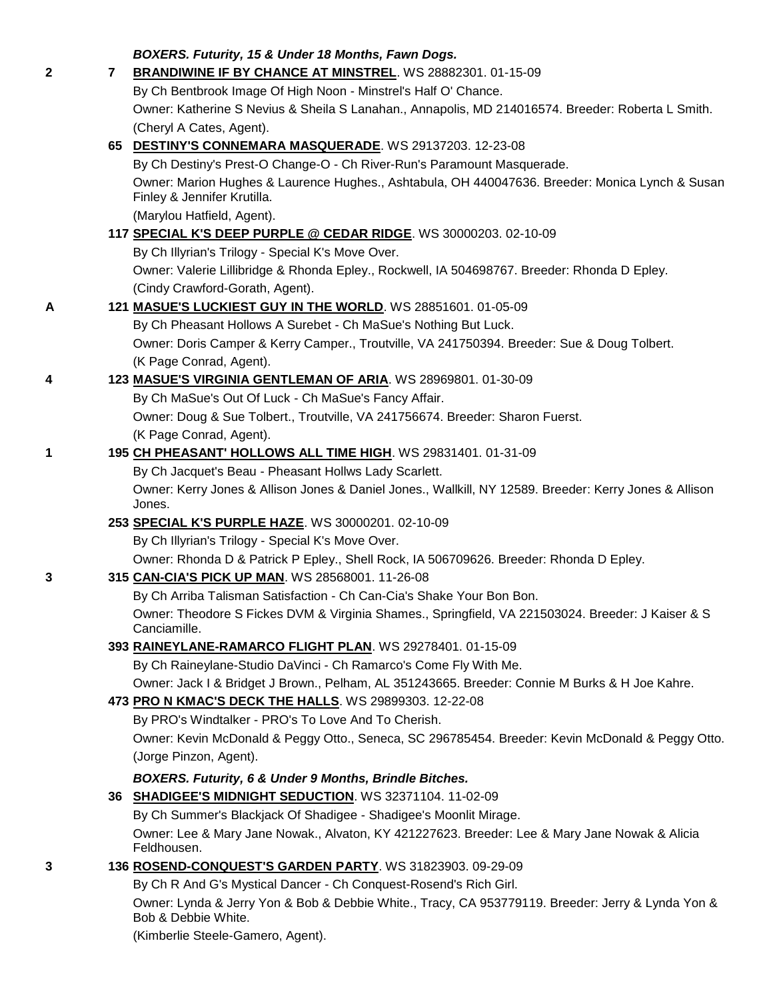|   |   | BOXERS. Futurity, 15 & Under 18 Months, Fawn Dogs.                                                                             |
|---|---|--------------------------------------------------------------------------------------------------------------------------------|
| 2 | 7 | <b>BRANDIWINE IF BY CHANCE AT MINSTREL. WS 28882301. 01-15-09</b>                                                              |
|   |   | By Ch Bentbrook Image Of High Noon - Minstrel's Half O' Chance.                                                                |
|   |   | Owner: Katherine S Nevius & Sheila S Lanahan., Annapolis, MD 214016574. Breeder: Roberta L Smith.                              |
|   |   | (Cheryl A Cates, Agent).                                                                                                       |
|   |   | 65 DESTINY'S CONNEMARA MASQUERADE. WS 29137203. 12-23-08                                                                       |
|   |   | By Ch Destiny's Prest-O Change-O - Ch River-Run's Paramount Masquerade.                                                        |
|   |   | Owner: Marion Hughes & Laurence Hughes., Ashtabula, OH 440047636. Breeder: Monica Lynch & Susan<br>Finley & Jennifer Krutilla. |
|   |   | (Marylou Hatfield, Agent).                                                                                                     |
|   |   | 117 SPECIAL K'S DEEP PURPLE @ CEDAR RIDGE. WS 30000203. 02-10-09                                                               |
|   |   | By Ch Illyrian's Trilogy - Special K's Move Over.                                                                              |
|   |   | Owner: Valerie Lillibridge & Rhonda Epley., Rockwell, IA 504698767. Breeder: Rhonda D Epley.                                   |
|   |   | (Cindy Crawford-Gorath, Agent).                                                                                                |
| A |   | 121 MASUE'S LUCKIEST GUY IN THE WORLD. WS 28851601. 01-05-09                                                                   |
|   |   | By Ch Pheasant Hollows A Surebet - Ch MaSue's Nothing But Luck.                                                                |
|   |   | Owner: Doris Camper & Kerry Camper., Troutville, VA 241750394. Breeder: Sue & Doug Tolbert.                                    |
|   |   | (K Page Conrad, Agent).                                                                                                        |
| 4 |   | 123 MASUE'S VIRGINIA GENTLEMAN OF ARIA. WS 28969801. 01-30-09                                                                  |
|   |   | By Ch MaSue's Out Of Luck - Ch MaSue's Fancy Affair.                                                                           |
|   |   | Owner: Doug & Sue Tolbert., Troutville, VA 241756674. Breeder: Sharon Fuerst.                                                  |
|   |   | (K Page Conrad, Agent).                                                                                                        |
| 1 |   | 195 CH PHEASANT' HOLLOWS ALL TIME HIGH. WS 29831401. 01-31-09                                                                  |
|   |   | By Ch Jacquet's Beau - Pheasant Hollws Lady Scarlett.                                                                          |
|   |   | Owner: Kerry Jones & Allison Jones & Daniel Jones., Wallkill, NY 12589. Breeder: Kerry Jones & Allison<br>Jones.               |
|   |   | 253 SPECIAL K'S PURPLE HAZE. WS 30000201. 02-10-09                                                                             |
|   |   | By Ch Illyrian's Trilogy - Special K's Move Over.                                                                              |
|   |   | Owner: Rhonda D & Patrick P Epley., Shell Rock, IA 506709626. Breeder: Rhonda D Epley.                                         |
| 3 |   | 315 CAN-CIA'S PICK UP MAN. WS 28568001. 11-26-08                                                                               |
|   |   | By Ch Arriba Talisman Satisfaction - Ch Can-Cia's Shake Your Bon Bon.                                                          |
|   |   | Owner: Theodore S Fickes DVM & Virginia Shames., Springfield, VA 221503024. Breeder: J Kaiser & S<br>Canciamille.              |
|   |   | 393 RAINEYLANE-RAMARCO FLIGHT PLAN. WS 29278401. 01-15-09                                                                      |
|   |   | By Ch Raineylane-Studio DaVinci - Ch Ramarco's Come Fly With Me.                                                               |
|   |   | Owner: Jack I & Bridget J Brown., Pelham, AL 351243665. Breeder: Connie M Burks & H Joe Kahre.                                 |
|   |   | 473 PRO N KMAC'S DECK THE HALLS. WS 29899303. 12-22-08<br>By PRO's Windtalker - PRO's To Love And To Cherish.                  |
|   |   | Owner: Kevin McDonald & Peggy Otto., Seneca, SC 296785454. Breeder: Kevin McDonald & Peggy Otto.                               |
|   |   | (Jorge Pinzon, Agent).                                                                                                         |
|   |   | BOXERS. Futurity, 6 & Under 9 Months, Brindle Bitches.                                                                         |
|   |   | 36 SHADIGEE'S MIDNIGHT SEDUCTION. WS 32371104. 11-02-09                                                                        |
|   |   | By Ch Summer's Blackjack Of Shadigee - Shadigee's Moonlit Mirage.                                                              |
|   |   | Owner: Lee & Mary Jane Nowak., Alvaton, KY 421227623. Breeder: Lee & Mary Jane Nowak & Alicia<br>Feldhousen.                   |
| 3 |   | 136 ROSEND-CONQUEST'S GARDEN PARTY. WS 31823903. 09-29-09                                                                      |
|   |   | By Ch R And G's Mystical Dancer - Ch Conquest-Rosend's Rich Girl.                                                              |
|   |   | Owner: Lynda & Jerry Yon & Bob & Debbie White., Tracy, CA 953779119. Breeder: Jerry & Lynda Yon &<br>Bob & Debbie White.       |
|   |   |                                                                                                                                |

(Kimberlie Steele-Gamero, Agent).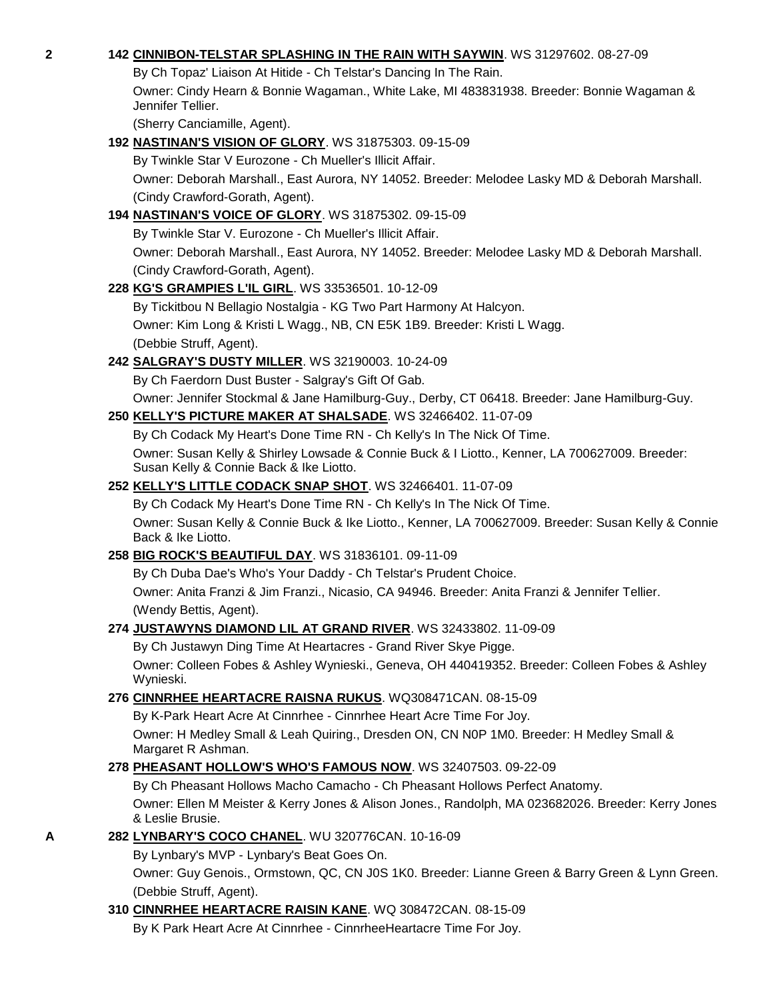#### **2 142 [CINNIBON-TELSTAR SPLASHING IN THE RAIN WITH SAYWIN](http://canis.infodog.com/files/bdogrsl1.prg;makc=WS_31297602;mdog=Cinnibon-Telstar_Splashing_In_The_Rain_With_Saywin;wins=all)**. WS 31297602. 08-27-09

By Ch Topaz' Liaison At Hitide - Ch Telstar's Dancing In The Rain.

Owner: Cindy Hearn & Bonnie Wagaman., White Lake, MI 483831938. Breeder: Bonnie Wagaman & Jennifer Tellier.

(Sherry Canciamille, Agent).

#### **192 [NASTINAN'S VISION OF GLORY](http://canis.infodog.com/files/bdogrsl1.prg;makc=WS_31875303;mdog=Nastinan_s_Vision_Of_Glory;wins=all)**. WS 31875303. 09-15-09

By Twinkle Star V Eurozone - Ch Mueller's Illicit Affair.

Owner: Deborah Marshall., East Aurora, NY 14052. Breeder: Melodee Lasky MD & Deborah Marshall. (Cindy Crawford-Gorath, Agent).

## **194 [NASTINAN'S VOICE OF GLORY](http://canis.infodog.com/files/bdogrsl1.prg;makc=WS_31875302;mdog=Nastinan_s_Voice_Of_Glory;wins=all)**. WS 31875302. 09-15-09

By Twinkle Star V. Eurozone - Ch Mueller's Illicit Affair.

Owner: Deborah Marshall., East Aurora, NY 14052. Breeder: Melodee Lasky MD & Deborah Marshall. (Cindy Crawford-Gorath, Agent).

#### **228 [KG'S GRAMPIES L'IL GIRL](http://canis.infodog.com/files/bdogrsl1.prg;makc=WS_33536501;mdog=KG_S_Grampies_L_il_Girl;wins=all)**. WS 33536501. 10-12-09

By Tickitbou N Bellagio Nostalgia - KG Two Part Harmony At Halcyon. Owner: Kim Long & Kristi L Wagg., NB, CN E5K 1B9. Breeder: Kristi L Wagg. (Debbie Struff, Agent).

## **242 [SALGRAY'S DUSTY MILLER](http://canis.infodog.com/files/bdogrsl1.prg;makc=WS_32190003;mdog=Salgray_s_Dusty_Miller;wins=all)**. WS 32190003. 10-24-09

By Ch Faerdorn Dust Buster - Salgray's Gift Of Gab.

Owner: Jennifer Stockmal & Jane Hamilburg-Guy., Derby, CT 06418. Breeder: Jane Hamilburg-Guy.

## **250 [KELLY'S PICTURE MAKER AT SHALSADE](http://canis.infodog.com/files/bdogrsl1.prg;makc=WS_32466402;mdog=Kelly_s_Picture_Maker_At_Shalsade;wins=all)**. WS 32466402. 11-07-09

By Ch Codack My Heart's Done Time RN - Ch Kelly's In The Nick Of Time.

Owner: Susan Kelly & Shirley Lowsade & Connie Buck & I Liotto., Kenner, LA 700627009. Breeder: Susan Kelly & Connie Back & Ike Liotto.

#### **252 [KELLY'S LITTLE CODACK SNAP SHOT](http://canis.infodog.com/files/bdogrsl1.prg;makc=WS_32466401;mdog=Kelly_s_Little_Codack_Snap_Shot;wins=all)**. WS 32466401. 11-07-09

By Ch Codack My Heart's Done Time RN - Ch Kelly's In The Nick Of Time.

Owner: Susan Kelly & Connie Buck & Ike Liotto., Kenner, LA 700627009. Breeder: Susan Kelly & Connie Back & Ike Liotto.

## **258 [BIG ROCK'S BEAUTIFUL DAY](http://canis.infodog.com/files/bdogrsl1.prg;makc=WS_31836101;mdog=Big_Rock_s_Beautiful_Day;wins=all)**. WS 31836101. 09-11-09

By Ch Duba Dae's Who's Your Daddy - Ch Telstar's Prudent Choice.

Owner: Anita Franzi & Jim Franzi., Nicasio, CA 94946. Breeder: Anita Franzi & Jennifer Tellier. (Wendy Bettis, Agent).

#### **274 [JUSTAWYNS DIAMOND LIL AT GRAND RIVER](http://canis.infodog.com/files/bdogrsl1.prg;makc=WS_32433802;mdog=Justawyns_Diamond_Lil_At_Grand_River;wins=all)**. WS 32433802. 11-09-09

By Ch Justawyn Ding Time At Heartacres - Grand River Skye Pigge.

Owner: Colleen Fobes & Ashley Wynieski., Geneva, OH 440419352. Breeder: Colleen Fobes & Ashley Wynieski.

## **276 [CINNRHEE HEARTACRE RAISNA RUKUS](http://canis.infodog.com/files/bdogrsl1.prg;makc=WQ308471CAN;mdog=Cinnrhee_Heartacre_Raisna_Rukus;wins=all)**. WQ308471CAN. 08-15-09

By K-Park Heart Acre At Cinnrhee - Cinnrhee Heart Acre Time For Joy. Owner: H Medley Small & Leah Quiring., Dresden ON, CN N0P 1M0. Breeder: H Medley Small & Margaret R Ashman.

## **278 [PHEASANT HOLLOW'S WHO'S FAMOUS NOW](http://canis.infodog.com/files/bdogrsl1.prg;makc=WS_32407503;mdog=Pheasant_Hollow_s_Who_s_Famous_Now;wins=all)**. WS 32407503. 09-22-09

By Ch Pheasant Hollows Macho Camacho - Ch Pheasant Hollows Perfect Anatomy.

Owner: Ellen M Meister & Kerry Jones & Alison Jones., Randolph, MA 023682026. Breeder: Kerry Jones & Leslie Brusie.

## **A 282 [LYNBARY'S COCO CHANEL](http://canis.infodog.com/files/bdogrsl1.prg;makc=WU_320776CAN;mdog=Lynbary_s_Coco_Chanel;wins=all)**. WU 320776CAN. 10-16-09

By Lynbary's MVP - Lynbary's Beat Goes On.

Owner: Guy Genois., Ormstown, QC, CN J0S 1K0. Breeder: Lianne Green & Barry Green & Lynn Green. (Debbie Struff, Agent).

## **310 [CINNRHEE HEARTACRE RAISIN KANE](http://canis.infodog.com/files/bdogrsl1.prg;makc=WQ_308472CAN;mdog=Cinnrhee_Heartacre_Raisin_Kane;wins=all)**. WQ 308472CAN. 08-15-09

By K Park Heart Acre At Cinnrhee - CinnrheeHeartacre Time For Joy.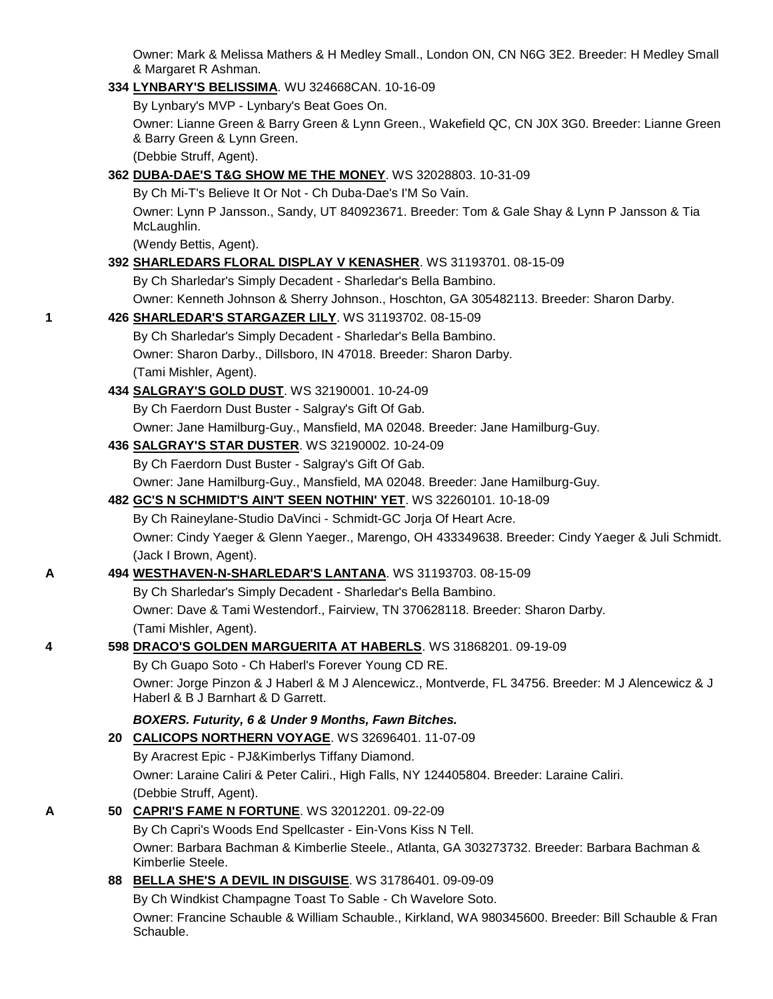Owner: Mark & Melissa Mathers & H Medley Small., London ON, CN N6G 3E2. Breeder: H Medley Small & Margaret R Ashman.

**334 [LYNBARY'S BELISSIMA](http://canis.infodog.com/files/bdogrsl1.prg;makc=WU_324668CAN;mdog=Lynbary_s_Belissima;wins=all)**. WU 324668CAN. 10-16-09 By Lynbary's MVP - Lynbary's Beat Goes On. Owner: Lianne Green & Barry Green & Lynn Green., Wakefield QC, CN J0X 3G0. Breeder: Lianne Green & Barry Green & Lynn Green. (Debbie Struff, Agent). **362 [DUBA-DAE'S T&G SHOW ME](http://canis.infodog.com/files/bdogrsl1.prg;makc=WS_32028803;mdog=Duba-Dae_s_T&G_Show_Me_The_Money;wins=all) THE MONEY**. WS 32028803. 10-31-09 By Ch Mi-T's Believe It Or Not - Ch Duba-Dae's I'M So Vain. Owner: Lynn P Jansson., Sandy, UT 840923671. Breeder: Tom & Gale Shay & Lynn P Jansson & Tia McLaughlin. (Wendy Bettis, Agent). **392 [SHARLEDARS FLORAL DISPLAY V KENASHER](http://canis.infodog.com/files/bdogrsl1.prg;makc=WS_31193701;mdog=Sharledars_Floral_Display_V_KenaSher;wins=all)**. WS 31193701. 08-15-09 By Ch Sharledar's Simply Decadent - Sharledar's Bella Bambino. Owner: Kenneth Johnson & Sherry Johnson., Hoschton, GA 305482113. Breeder: Sharon Darby. **1 426 [SHARLEDAR'S STARGAZER LILY](http://canis.infodog.com/files/bdogrsl1.prg;makc=WS_31193702;mdog=Sharledar_s_Stargazer_Lily;wins=all)**. WS 31193702. 08-15-09 By Ch Sharledar's Simply Decadent - Sharledar's Bella Bambino. Owner: Sharon Darby., Dillsboro, IN 47018. Breeder: Sharon Darby. (Tami Mishler, Agent). **434 [SALGRAY'S GOLD DUST](http://canis.infodog.com/files/bdogrsl1.prg;makc=WS_32190001;mdog=Salgray_s_Gold_Dust;wins=all)**. WS 32190001. 10-24-09 By Ch Faerdorn Dust Buster - Salgray's Gift Of Gab. Owner: Jane Hamilburg-Guy., Mansfield, MA 02048. Breeder: Jane Hamilburg-Guy. **436 [SALGRAY'S STAR DUSTER](http://canis.infodog.com/files/bdogrsl1.prg;makc=WS_32190002;mdog=Salgray_s_Star_Duster;wins=all)**. WS 32190002. 10-24-09 By Ch Faerdorn Dust Buster - Salgray's Gift Of Gab. Owner: Jane Hamilburg-Guy., Mansfield, MA 02048. Breeder: Jane Hamilburg-Guy. **482 [GC'S N SCHMIDT'S AIN'T SEEN NOTHIN' YET](http://canis.infodog.com/files/bdogrsl1.prg;makc=WS_32260101;mdog=GC_s_N_Schmidt_s_Ain_t_Seen_Nothin__Yet;wins=all)**. WS 32260101. 10-18-09 By Ch Raineylane-Studio DaVinci - Schmidt-GC Jorja Of Heart Acre. Owner: Cindy Yaeger & Glenn Yaeger., Marengo, OH 433349638. Breeder: Cindy Yaeger & Juli Schmidt. (Jack I Brown, Agent). **A 494 [WESTHAVEN-N-SHARLEDAR'S LANTANA](http://canis.infodog.com/files/bdogrsl1.prg;makc=WS_31193703;mdog=Westhaven-N-Sharledar_s_Lantana;wins=all)**. WS 31193703. 08-15-09 By Ch Sharledar's Simply Decadent - Sharledar's Bella Bambino. Owner: Dave & Tami Westendorf., Fairview, TN 370628118. Breeder: Sharon Darby. (Tami Mishler, Agent). **4 598 [DRACO'S GOLDEN MARGUERITA AT HABERLS](http://canis.infodog.com/files/bdogrsl1.prg;makc=WS_31868201;mdog=Draco_s_Golden_Marguerita_At_Haberls;wins=all)**. WS 31868201. 09-19-09 By Ch Guapo Soto - Ch Haberl's Forever Young CD RE. Owner: Jorge Pinzon & J Haberl & M J Alencewicz., Montverde, FL 34756. Breeder: M J Alencewicz & J Haberl & B J Barnhart & D Garrett. *BOXERS. Futurity, 6 & Under 9 Months, Fawn Bitches.* **20 [CALICOPS NORTHERN VOYAGE](http://canis.infodog.com/files/bdogrsl1.prg;makc=WS_32696401;mdog=Calicops_Northern_Voyage;wins=all)**. WS 32696401. 11-07-09 By Aracrest Epic - PJ&Kimberlys Tiffany Diamond. Owner: Laraine Caliri & Peter Caliri., High Falls, NY 124405804. Breeder: Laraine Caliri. (Debbie Struff, Agent). **A 50 [CAPRI'S FAME N FORTUNE](http://canis.infodog.com/files/bdogrsl1.prg;makc=WS_32012201;mdog=Capri_s_Fame_N_Fortune;wins=all)**. WS 32012201. 09-22-09 By Ch Capri's Woods End Spellcaster - Ein-Vons Kiss N Tell. Owner: Barbara Bachman & Kimberlie Steele., Atlanta, GA 303273732. Breeder: Barbara Bachman & Kimberlie Steele. **88 [BELLA SHE'S A DEVIL IN DISGUISE](http://canis.infodog.com/files/bdogrsl1.prg;makc=WS_31786401;mdog=Bella_She_s_A_Devil_In_Disguise;wins=all)**. WS 31786401. 09-09-09 By Ch Windkist Champagne Toast To Sable - Ch Wavelore Soto. Owner: Francine Schauble & William Schauble., Kirkland, WA 980345600. Breeder: Bill Schauble & Fran Schauble.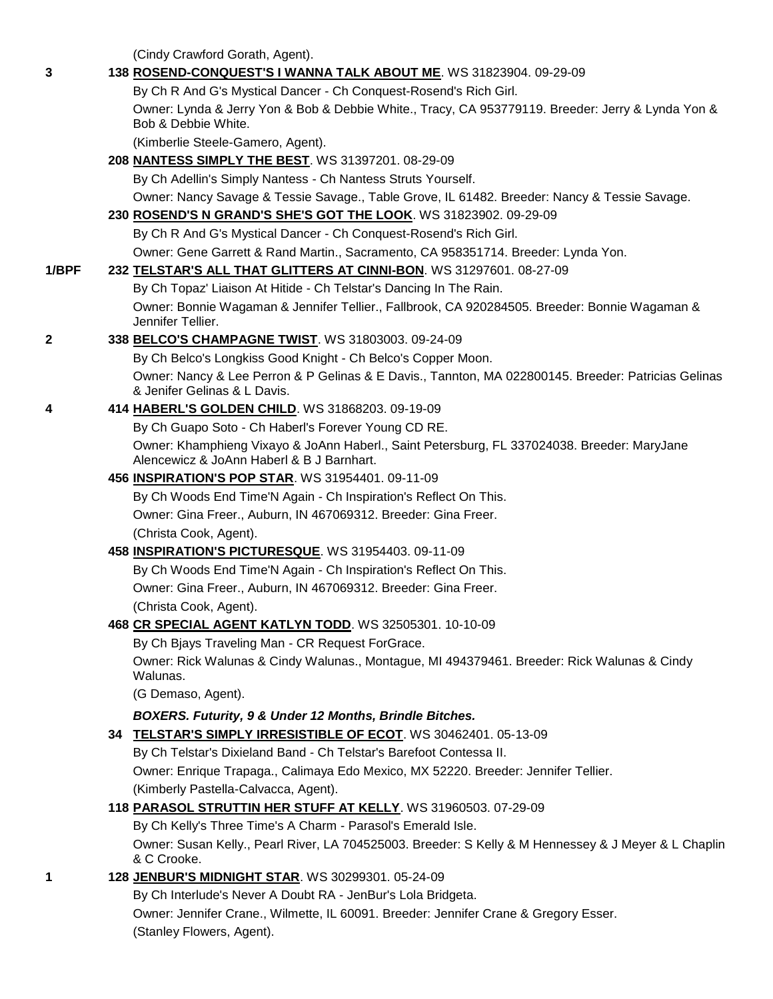(Cindy Crawford Gorath, Agent).

| 3     | 138 ROSEND-CONQUEST'S I WANNA TALK ABOUT ME. WS 31823904. 09-29-09                                                                       |
|-------|------------------------------------------------------------------------------------------------------------------------------------------|
|       | By Ch R And G's Mystical Dancer - Ch Conquest-Rosend's Rich Girl.                                                                        |
|       | Owner: Lynda & Jerry Yon & Bob & Debbie White., Tracy, CA 953779119. Breeder: Jerry & Lynda Yon &<br>Bob & Debbie White.                 |
|       | (Kimberlie Steele-Gamero, Agent).                                                                                                        |
|       | 208 NANTESS SIMPLY THE BEST. WS 31397201. 08-29-09                                                                                       |
|       | By Ch Adellin's Simply Nantess - Ch Nantess Struts Yourself.                                                                             |
|       | Owner: Nancy Savage & Tessie Savage., Table Grove, IL 61482. Breeder: Nancy & Tessie Savage.                                             |
|       | 230 ROSEND'S N GRAND'S SHE'S GOT THE LOOK. WS 31823902. 09-29-09                                                                         |
|       | By Ch R And G's Mystical Dancer - Ch Conquest-Rosend's Rich Girl.                                                                        |
|       | Owner: Gene Garrett & Rand Martin., Sacramento, CA 958351714. Breeder: Lynda Yon.                                                        |
| 1/BPF | 232 TELSTAR'S ALL THAT GLITTERS AT CINNI-BON. WS 31297601. 08-27-09                                                                      |
|       | By Ch Topaz' Liaison At Hitide - Ch Telstar's Dancing In The Rain.                                                                       |
|       | Owner: Bonnie Wagaman & Jennifer Tellier., Fallbrook, CA 920284505. Breeder: Bonnie Wagaman &<br>Jennifer Tellier.                       |
| 2     | 338 BELCO'S CHAMPAGNE TWIST. WS 31803003. 09-24-09                                                                                       |
|       | By Ch Belco's Longkiss Good Knight - Ch Belco's Copper Moon.                                                                             |
|       | Owner: Nancy & Lee Perron & P Gelinas & E Davis., Tannton, MA 022800145. Breeder: Patricias Gelinas<br>& Jenifer Gelinas & L Davis.      |
| 4     | 414 HABERL'S GOLDEN CHILD. WS 31868203. 09-19-09                                                                                         |
|       | By Ch Guapo Soto - Ch Haberl's Forever Young CD RE.                                                                                      |
|       | Owner: Khamphieng Vixayo & JoAnn Haberl., Saint Petersburg, FL 337024038. Breeder: MaryJane<br>Alencewicz & JoAnn Haberl & B J Barnhart. |
|       | 456 INSPIRATION'S POP STAR. WS 31954401. 09-11-09                                                                                        |
|       | By Ch Woods End Time'N Again - Ch Inspiration's Reflect On This.                                                                         |
|       | Owner: Gina Freer., Auburn, IN 467069312. Breeder: Gina Freer.                                                                           |
|       | (Christa Cook, Agent).                                                                                                                   |
|       | 458 INSPIRATION'S PICTURESQUE. WS 31954403. 09-11-09                                                                                     |
|       | By Ch Woods End Time'N Again - Ch Inspiration's Reflect On This.                                                                         |
|       | Owner: Gina Freer., Auburn, IN 467069312. Breeder: Gina Freer.                                                                           |
|       | (Christa Cook, Agent).                                                                                                                   |
|       | 468 CR SPECIAL AGENT KATLYN TODD. WS 32505301. 10-10-09                                                                                  |
|       | By Ch Bjays Traveling Man - CR Request ForGrace.                                                                                         |
|       | Owner: Rick Walunas & Cindy Walunas., Montague, MI 494379461. Breeder: Rick Walunas & Cindy<br>Walunas.                                  |
|       | (G Demaso, Agent).                                                                                                                       |
|       | BOXERS. Futurity, 9 & Under 12 Months, Brindle Bitches.                                                                                  |
|       | 34 TELSTAR'S SIMPLY IRRESISTIBLE OF ECOT. WS 30462401. 05-13-09                                                                          |
|       | By Ch Telstar's Dixieland Band - Ch Telstar's Barefoot Contessa II.                                                                      |
|       | Owner: Enrique Trapaga., Calimaya Edo Mexico, MX 52220. Breeder: Jennifer Tellier.                                                       |
|       | (Kimberly Pastella-Calvacca, Agent).                                                                                                     |
|       | 118 PARASOL STRUTTIN HER STUFF AT KELLY. WS 31960503. 07-29-09                                                                           |
|       | By Ch Kelly's Three Time's A Charm - Parasol's Emerald Isle.                                                                             |
|       | Owner: Susan Kelly., Pearl River, LA 704525003. Breeder: S Kelly & M Hennessey & J Meyer & L Chaplin<br>& C Crooke.                      |
| 1     | 128 JENBUR'S MIDNIGHT STAR. WS 30299301. 05-24-09                                                                                        |
|       | By Ch Interlude's Never A Doubt RA - JenBur's Lola Bridgeta.                                                                             |
|       | Owner: Jennifer Crane., Wilmette, IL 60091. Breeder: Jennifer Crane & Gregory Esser.                                                     |
|       | (Stanley Flowers, Agent).                                                                                                                |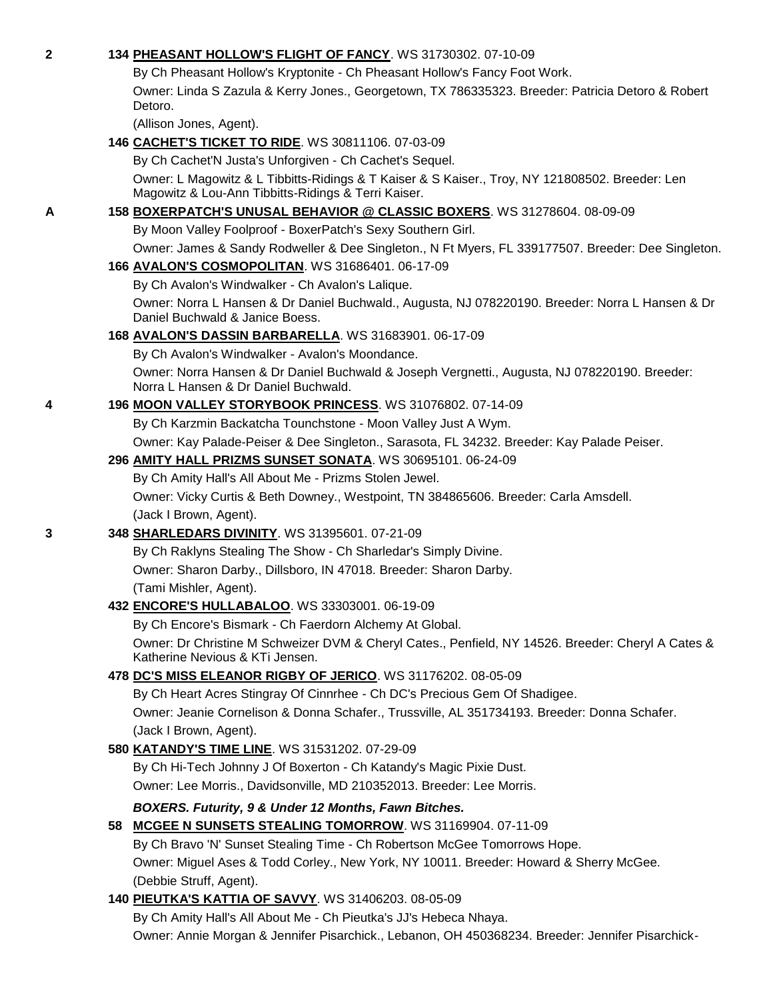| 2 | 134 PHEASANT HOLLOW'S FLIGHT OF FANCY. WS 31730302. 07-10-09                                                                                           |
|---|--------------------------------------------------------------------------------------------------------------------------------------------------------|
|   | By Ch Pheasant Hollow's Kryptonite - Ch Pheasant Hollow's Fancy Foot Work.                                                                             |
|   | Owner: Linda S Zazula & Kerry Jones., Georgetown, TX 786335323. Breeder: Patricia Detoro & Robert                                                      |
|   | Detoro.                                                                                                                                                |
|   | (Allison Jones, Agent).                                                                                                                                |
|   | 146 CACHET'S TICKET TO RIDE. WS 30811106. 07-03-09                                                                                                     |
|   | By Ch Cachet'N Justa's Unforgiven - Ch Cachet's Sequel.                                                                                                |
|   | Owner: L Magowitz & L Tibbitts-Ridings & T Kaiser & S Kaiser., Troy, NY 121808502. Breeder: Len<br>Magowitz & Lou-Ann Tibbitts-Ridings & Terri Kaiser. |
| A | 158 BOXERPATCH'S UNUSAL BEHAVIOR @ CLASSIC BOXERS. WS 31278604. 08-09-09                                                                               |
|   | By Moon Valley Foolproof - BoxerPatch's Sexy Southern Girl.                                                                                            |
|   | Owner: James & Sandy Rodweller & Dee Singleton., N Ft Myers, FL 339177507. Breeder: Dee Singleton.                                                     |
|   | 166 AVALON'S COSMOPOLITAN. WS 31686401. 06-17-09                                                                                                       |
|   | By Ch Avalon's Windwalker - Ch Avalon's Lalique.                                                                                                       |
|   | Owner: Norra L Hansen & Dr Daniel Buchwald., Augusta, NJ 078220190. Breeder: Norra L Hansen & Dr<br>Daniel Buchwald & Janice Boess.                    |
|   | 168 AVALON'S DASSIN BARBARELLA. WS 31683901. 06-17-09                                                                                                  |
|   | By Ch Avalon's Windwalker - Avalon's Moondance.                                                                                                        |
|   | Owner: Norra Hansen & Dr Daniel Buchwald & Joseph Vergnetti., Augusta, NJ 078220190. Breeder:<br>Norra L Hansen & Dr Daniel Buchwald.                  |
| 4 | 196 MOON VALLEY STORYBOOK PRINCESS. WS 31076802. 07-14-09                                                                                              |
|   | By Ch Karzmin Backatcha Tounchstone - Moon Valley Just A Wym.                                                                                          |
|   | Owner: Kay Palade-Peiser & Dee Singleton., Sarasota, FL 34232. Breeder: Kay Palade Peiser.                                                             |
|   | 296 AMITY HALL PRIZMS SUNSET SONATA. WS 30695101. 06-24-09                                                                                             |
|   | By Ch Amity Hall's All About Me - Prizms Stolen Jewel.                                                                                                 |
|   | Owner: Vicky Curtis & Beth Downey., Westpoint, TN 384865606. Breeder: Carla Amsdell.                                                                   |
|   | (Jack I Brown, Agent).                                                                                                                                 |
| 3 | 348 SHARLEDARS DIVINITY. WS 31395601. 07-21-09                                                                                                         |
|   | By Ch Raklyns Stealing The Show - Ch Sharledar's Simply Divine.                                                                                        |
|   | Owner: Sharon Darby., Dillsboro, IN 47018. Breeder: Sharon Darby.                                                                                      |
|   | (Tami Mishler, Agent).                                                                                                                                 |
|   | 432 ENCORE'S HULLABALOO. WS 33303001. 06-19-09                                                                                                         |
|   | By Ch Encore's Bismark - Ch Faerdorn Alchemy At Global.                                                                                                |
|   | Owner: Dr Christine M Schweizer DVM & Cheryl Cates., Penfield, NY 14526. Breeder: Cheryl A Cates &<br>Katherine Nevious & KTi Jensen.                  |
|   | 478 DC'S MISS ELEANOR RIGBY OF JERICO. WS 31176202. 08-05-09                                                                                           |
|   | By Ch Heart Acres Stingray Of Cinnrhee - Ch DC's Precious Gem Of Shadigee.                                                                             |
|   | Owner: Jeanie Cornelison & Donna Schafer., Trussville, AL 351734193. Breeder: Donna Schafer.                                                           |
|   | (Jack I Brown, Agent).                                                                                                                                 |
|   | 580 KATANDY'S TIME LINE. WS 31531202. 07-29-09                                                                                                         |
|   | By Ch Hi-Tech Johnny J Of Boxerton - Ch Katandy's Magic Pixie Dust.                                                                                    |
|   | Owner: Lee Morris., Davidsonville, MD 210352013. Breeder: Lee Morris.                                                                                  |
|   | BOXERS. Futurity, 9 & Under 12 Months, Fawn Bitches.                                                                                                   |
|   | 58 MCGEE N SUNSETS STEALING TOMORROW. WS 31169904. 07-11-09                                                                                            |
|   | By Ch Bravo 'N' Sunset Stealing Time - Ch Robertson McGee Tomorrows Hope.                                                                              |
|   | Owner: Miguel Ases & Todd Corley., New York, NY 10011. Breeder: Howard & Sherry McGee.                                                                 |
|   | (Debbie Struff, Agent).                                                                                                                                |
|   | 140 PIEUTKA'S KATTIA OF SAVVY. WS 31406203. 08-05-09                                                                                                   |
|   | By Ch Amity Hall's All About Me - Ch Pieutka's JJ's Hebeca Nhaya.                                                                                      |

Owner: Annie Morgan & Jennifer Pisarchick., Lebanon, OH 450368234. Breeder: Jennifer Pisarchick-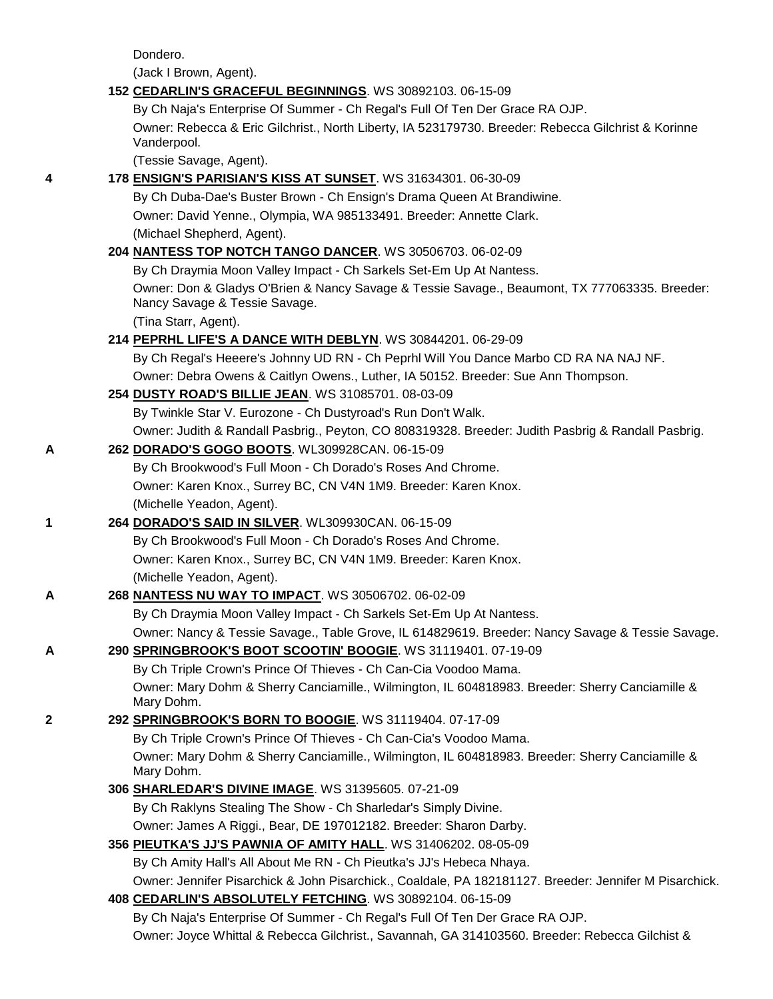Dondero.

(Jack I Brown, Agent).

|   | 152 CEDARLIN'S GRACEFUL BEGINNINGS. WS 30892103. 06-15-09                                                                      |
|---|--------------------------------------------------------------------------------------------------------------------------------|
|   | By Ch Naja's Enterprise Of Summer - Ch Regal's Full Of Ten Der Grace RA OJP.                                                   |
|   | Owner: Rebecca & Eric Gilchrist., North Liberty, IA 523179730. Breeder: Rebecca Gilchrist & Korinne<br>Vanderpool.             |
|   | (Tessie Savage, Agent).                                                                                                        |
| 4 | 178 ENSIGN'S PARISIAN'S KISS AT SUNSET. WS 31634301. 06-30-09                                                                  |
|   | By Ch Duba-Dae's Buster Brown - Ch Ensign's Drama Queen At Brandiwine.                                                         |
|   | Owner: David Yenne., Olympia, WA 985133491. Breeder: Annette Clark.                                                            |
|   | (Michael Shepherd, Agent).                                                                                                     |
|   | 204 NANTESS TOP NOTCH TANGO DANCER. WS 30506703. 06-02-09                                                                      |
|   | By Ch Draymia Moon Valley Impact - Ch Sarkels Set-Em Up At Nantess.                                                            |
|   | Owner: Don & Gladys O'Brien & Nancy Savage & Tessie Savage., Beaumont, TX 777063335. Breeder:<br>Nancy Savage & Tessie Savage. |
|   | (Tina Starr, Agent).                                                                                                           |
|   | 214 PEPRHL LIFE'S A DANCE WITH DEBLYN. WS 30844201. 06-29-09                                                                   |
|   | By Ch Regal's Heeere's Johnny UD RN - Ch Peprhl Will You Dance Marbo CD RA NA NAJ NF.                                          |
|   | Owner: Debra Owens & Caitlyn Owens., Luther, IA 50152. Breeder: Sue Ann Thompson.                                              |
|   | 254 DUSTY ROAD'S BILLIE JEAN. WS 31085701. 08-03-09                                                                            |
|   | By Twinkle Star V. Eurozone - Ch Dustyroad's Run Don't Walk.                                                                   |
|   | Owner: Judith & Randall Pasbrig., Peyton, CO 808319328. Breeder: Judith Pasbrig & Randall Pasbrig.                             |
| A | 262 DORADO'S GOGO BOOTS. WL309928CAN. 06-15-09                                                                                 |
|   | By Ch Brookwood's Full Moon - Ch Dorado's Roses And Chrome.                                                                    |
|   | Owner: Karen Knox., Surrey BC, CN V4N 1M9. Breeder: Karen Knox.                                                                |
|   | (Michelle Yeadon, Agent).                                                                                                      |
| 1 | 264 DORADO'S SAID IN SILVER. WL309930CAN. 06-15-09                                                                             |
|   | By Ch Brookwood's Full Moon - Ch Dorado's Roses And Chrome.                                                                    |
|   | Owner: Karen Knox., Surrey BC, CN V4N 1M9. Breeder: Karen Knox.                                                                |
|   | (Michelle Yeadon, Agent).                                                                                                      |
| A | 268 NANTESS NU WAY TO IMPACT. WS 30506702. 06-02-09                                                                            |
|   | By Ch Draymia Moon Valley Impact - Ch Sarkels Set-Em Up At Nantess.                                                            |
|   | Owner: Nancy & Tessie Savage., Table Grove, IL 614829619. Breeder: Nancy Savage & Tessie Savage.                               |
| A | 290 SPRINGBROOK'S BOOT SCOOTIN' BOOGIE. WS 31119401. 07-19-09                                                                  |
|   | By Ch Triple Crown's Prince Of Thieves - Ch Can-Cia Voodoo Mama.                                                               |
|   | Owner: Mary Dohm & Sherry Canciamille., Wilmington, IL 604818983. Breeder: Sherry Canciamille &<br>Mary Dohm.                  |
| 2 | 292 SPRINGBROOK'S BORN TO BOOGIE. WS 31119404. 07-17-09                                                                        |
|   | By Ch Triple Crown's Prince Of Thieves - Ch Can-Cia's Voodoo Mama.                                                             |
|   | Owner: Mary Dohm & Sherry Canciamille., Wilmington, IL 604818983. Breeder: Sherry Canciamille &                                |
|   | Mary Dohm.                                                                                                                     |
|   | 306 SHARLEDAR'S DIVINE IMAGE. WS 31395605. 07-21-09                                                                            |
|   | By Ch Raklyns Stealing The Show - Ch Sharledar's Simply Divine.                                                                |
|   | Owner: James A Riggi., Bear, DE 197012182. Breeder: Sharon Darby.                                                              |
|   | 356 PIEUTKA'S JJ'S PAWNIA OF AMITY HALL. WS 31406202. 08-05-09                                                                 |
|   | By Ch Amity Hall's All About Me RN - Ch Pieutka's JJ's Hebeca Nhaya.                                                           |
|   | Owner: Jennifer Pisarchick & John Pisarchick., Coaldale, PA 182181127. Breeder: Jennifer M Pisarchick.                         |
|   | 408 CEDARLIN'S ABSOLUTELY FETCHING. WS 30892104. 06-15-09                                                                      |
|   | By Ch Naja's Enterprise Of Summer - Ch Regal's Full Of Ten Der Grace RA OJP.                                                   |
|   | Owner: Joyce Whittal & Rebecca Gilchrist., Savannah, GA 314103560. Breeder: Rebecca Gilchist &                                 |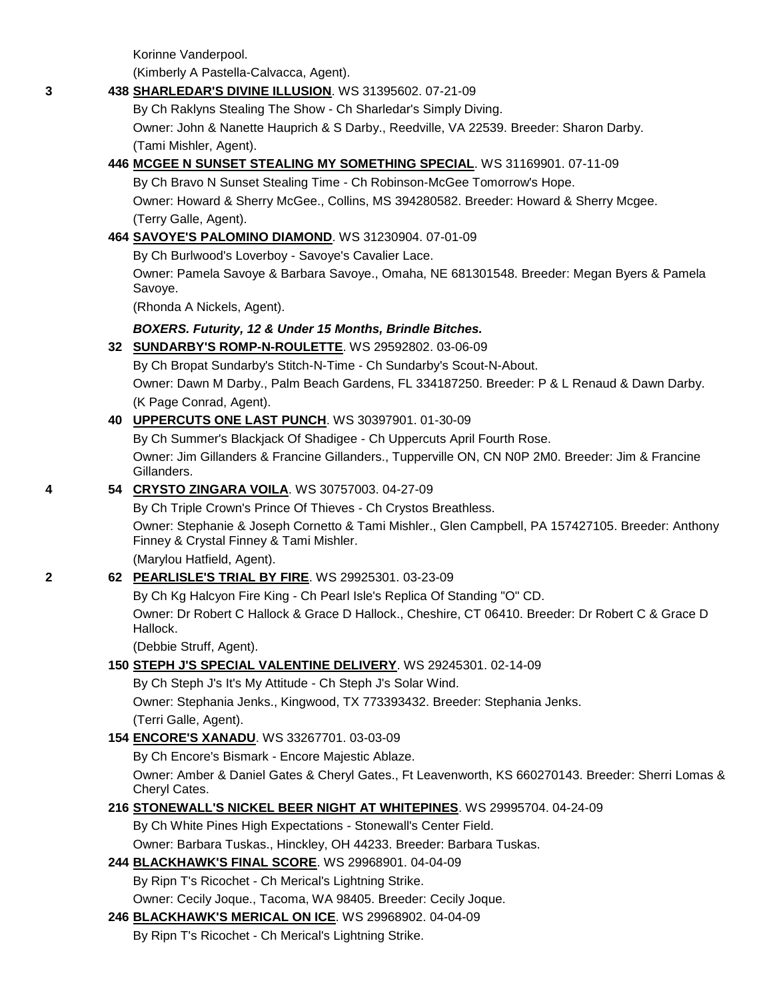Korinne Vanderpool.

(Kimberly A Pastella-Calvacca, Agent).

#### **3 438 [SHARLEDAR'S DIVINE ILLUSION](http://canis.infodog.com/files/bdogrsl1.prg;makc=WS_31395602;mdog=Sharledar_s_Divine_Illusion;wins=all)**. WS 31395602. 07-21-09

By Ch Raklyns Stealing The Show - Ch Sharledar's Simply Diving.

Owner: John & Nanette Hauprich & S Darby., Reedville, VA 22539. Breeder: Sharon Darby. (Tami Mishler, Agent).

## **446 [MCGEE N SUNSET STEALING MY SOMETHING SPECIAL](http://canis.infodog.com/files/bdogrsl1.prg;makc=WS_31169901;mdog=McGee_N_Sunset_Stealing_My_Something_Special;wins=all)**. WS 31169901. 07-11-09

By Ch Bravo N Sunset Stealing Time - Ch Robinson-McGee Tomorrow's Hope. Owner: Howard & Sherry McGee., Collins, MS 394280582. Breeder: Howard & Sherry Mcgee. (Terry Galle, Agent).

#### **464 [SAVOYE'S PALOMINO DIAMOND](http://canis.infodog.com/files/bdogrsl1.prg;makc=WS_31230904;mdog=Savoye_s_Palomino_Diamond;wins=all)**. WS 31230904. 07-01-09

By Ch Burlwood's Loverboy - Savoye's Cavalier Lace.

Owner: Pamela Savoye & Barbara Savoye., Omaha, NE 681301548. Breeder: Megan Byers & Pamela Savoye.

(Rhonda A Nickels, Agent).

#### *BOXERS. Futurity, 12 & Under 15 Months, Brindle Bitches.*

#### **32 [SUNDARBY'S ROMP-N-ROULETTE](http://canis.infodog.com/files/bdogrsl1.prg;makc=WS_29592802;mdog=Sundarby_s_Romp-N-Roulette;wins=all)**. WS 29592802. 03-06-09

By Ch Bropat Sundarby's Stitch-N-Time - Ch Sundarby's Scout-N-About.

Owner: Dawn M Darby., Palm Beach Gardens, FL 334187250. Breeder: P & L Renaud & Dawn Darby. (K Page Conrad, Agent).

#### **40 [UPPERCUTS ONE LAST PUNCH](http://canis.infodog.com/files/bdogrsl1.prg;makc=WS_30397901;mdog=Uppercuts_One_Last_Punch;wins=all)**. WS 30397901. 01-30-09

By Ch Summer's Blackjack Of Shadigee - Ch Uppercuts April Fourth Rose.

Owner: Jim Gillanders & Francine Gillanders., Tupperville ON, CN N0P 2M0. Breeder: Jim & Francine Gillanders.

#### **4 54 [CRYSTO ZINGARA VOILA](http://canis.infodog.com/files/bdogrsl1.prg;makc=WS_30757003;mdog=Crysto_Zingara_Voila;wins=all)**. WS 30757003. 04-27-09

By Ch Triple Crown's Prince Of Thieves - Ch Crystos Breathless.

Owner: Stephanie & Joseph Cornetto & Tami Mishler., Glen Campbell, PA 157427105. Breeder: Anthony Finney & Crystal Finney & Tami Mishler.

(Marylou Hatfield, Agent).

#### **2 62 [PEARLISLE'S TRIAL BY FIRE](http://canis.infodog.com/files/bdogrsl1.prg;makc=WS_29925301;mdog=Pearlisle_s_Trial_By_Fire;wins=all)**. WS 29925301. 03-23-09

By Ch Kg Halcyon Fire King - Ch Pearl Isle's Replica Of Standing "O" CD.

Owner: Dr Robert C Hallock & Grace D Hallock., Cheshire, CT 06410. Breeder: Dr Robert C & Grace D Hallock.

(Debbie Struff, Agent).

## **150 [STEPH J'S SPECIAL VALENTINE DELIVERY](http://canis.infodog.com/files/bdogrsl1.prg;makc=WS_29245301;mdog=Steph_J_s_Special_Valentine_Delivery;wins=all)**. WS 29245301. 02-14-09

By Ch Steph J's It's My Attitude - Ch Steph J's Solar Wind.

Owner: Stephania Jenks., Kingwood, TX 773393432. Breeder: Stephania Jenks. (Terri Galle, Agent).

## **154 [ENCORE'S XANADU](http://canis.infodog.com/files/bdogrsl1.prg;makc=WS_33267701;mdog=Encore_s_Xanadu;wins=all)**. WS 33267701. 03-03-09

By Ch Encore's Bismark - Encore Majestic Ablaze.

Owner: Amber & Daniel Gates & Cheryl Gates., Ft Leavenworth, KS 660270143. Breeder: Sherri Lomas & Cheryl Cates.

## **216 [STONEWALL'S NICKEL BEER NIGHT AT WHITEPINES](http://canis.infodog.com/files/bdogrsl1.prg;makc=WS_29995704;mdog=Stonewall_s_Nickel_Beer_Night_At_Whitepines;wins=all)**. WS 29995704. 04-24-09

By Ch White Pines High Expectations - Stonewall's Center Field. Owner: Barbara Tuskas., Hinckley, OH 44233. Breeder: Barbara Tuskas.

## **244 [BLACKHAWK'S FINAL SCORE](http://canis.infodog.com/files/bdogrsl1.prg;makc=WS_29968901;mdog=Blackhawk_s_Final_Score;wins=all)**. WS 29968901. 04-04-09

By Ripn T's Ricochet - Ch Merical's Lightning Strike.

Owner: Cecily Joque., Tacoma, WA 98405. Breeder: Cecily Joque.

## **246 [BLACKHAWK'S MERICAL ON ICE](http://canis.infodog.com/files/bdogrsl1.prg;makc=WS_29968902;mdog=Blackhawk_s_Merical_On_Ice;wins=all)**. WS 29968902. 04-04-09

By Ripn T's Ricochet - Ch Merical's Lightning Strike.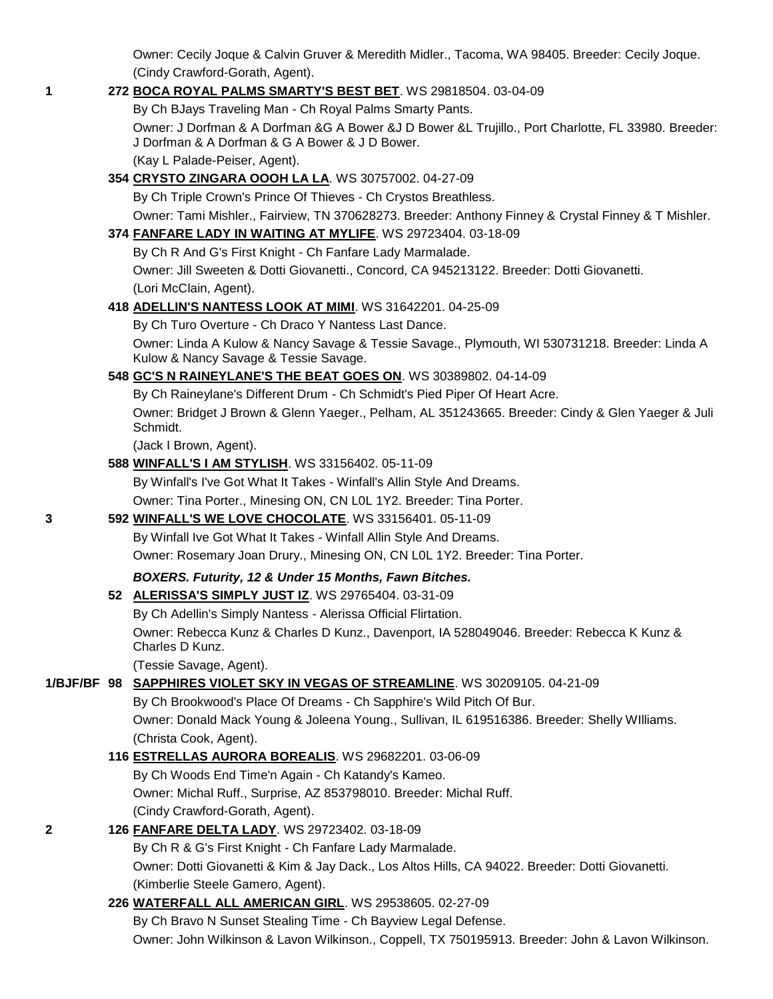Owner: Cecily Joque & Calvin Gruver & Meredith Midler., Tacoma, WA 98405. Breeder: Cecily Joque. (Cindy Crawford-Gorath, Agent).

## **1 272 [BOCA ROYAL PALMS SMARTY'S BEST BET](http://canis.infodog.com/files/bdogrsl1.prg;makc=WS_29818504;mdog=Boca_Royal_Palms_Smarty_s_Best_Bet;wins=all)**. WS 29818504. 03-04-09

By Ch BJays Traveling Man - Ch Royal Palms Smarty Pants.

Owner: J Dorfman & A Dorfman &G A Bower &J D Bower &L Trujillo., Port Charlotte, FL 33980. Breeder: J Dorfman & A Dorfman & G A Bower & J D Bower.

(Kay L Palade-Peiser, Agent).

## **354 [CRYSTO ZINGARA OOOH LA LA](http://canis.infodog.com/files/bdogrsl1.prg;makc=WS_30757002;mdog=Crysto_Zingara_Oooh_La_La;wins=all)**. WS 30757002. 04-27-09

By Ch Triple Crown's Prince Of Thieves - Ch Crystos Breathless. Owner: Tami Mishler., Fairview, TN 370628273. Breeder: Anthony Finney & Crystal Finney & T Mishler.

## **374 [FANFARE LADY IN WAITING AT MYLIFE](http://canis.infodog.com/files/bdogrsl1.prg;makc=WS_29723404;mdog=Fanfare_Lady_In_Waiting_At_MyLife;wins=all)**. WS 29723404. 03-18-09

By Ch R And G's First Knight - Ch Fanfare Lady Marmalade.

Owner: Jill Sweeten & Dotti Giovanetti., Concord, CA 945213122. Breeder: Dotti Giovanetti. (Lori McClain, Agent).

## **418 [ADELLIN'S NANTESS LOOK AT MIMI](http://canis.infodog.com/files/bdogrsl1.prg;makc=WS_31642201;mdog=Adellin_s_Nantess_Look_At_Mimi;wins=all)**. WS 31642201. 04-25-09

By Ch Turo Overture - Ch Draco Y Nantess Last Dance.

Owner: Linda A Kulow & Nancy Savage & Tessie Savage., Plymouth, WI 530731218. Breeder: Linda A Kulow & Nancy Savage & Tessie Savage.

## **548 [GC'S N RAINEYLANE'S THE BEAT GOES ON](http://canis.infodog.com/files/bdogrsl1.prg;makc=WS_30389802;mdog=GC_s_N_Raineylane_s_The_Beat_Goes_On;wins=all)**. WS 30389802. 04-14-09

By Ch Raineylane's Different Drum - Ch Schmidt's Pied Piper Of Heart Acre.

Owner: Bridget J Brown & Glenn Yaeger., Pelham, AL 351243665. Breeder: Cindy & Glen Yaeger & Juli Schmidt.

(Jack I Brown, Agent).

#### **588 [WINFALL'S I AM STYLISH](http://canis.infodog.com/files/bdogrsl1.prg;makc=WS_33156402;mdog=Winfall_s_I_Am_Stylish;wins=all)**. WS 33156402. 05-11-09

By Winfall's I've Got What It Takes - Winfall's Allin Style And Dreams.

Owner: Tina Porter., Minesing ON, CN L0L 1Y2. Breeder: Tina Porter.

## **3 592 [WINFALL'S WE LOVE CHOCOLATE](http://canis.infodog.com/files/bdogrsl1.prg;makc=WS_33156401;mdog=Winfall_s_We_Love_Chocolate;wins=all)**. WS 33156401. 05-11-09

By Winfall Ive Got What It Takes - Winfall Allin Style And Dreams. Owner: Rosemary Joan Drury., Minesing ON, CN L0L 1Y2. Breeder: Tina Porter.

# *BOXERS. Futurity, 12 & Under 15 Months, Fawn Bitches.*

## **52 [ALERISSA'S SIMPLY JUST IZ](http://canis.infodog.com/files/bdogrsl1.prg;makc=WS_29765404;mdog=Alerissa_s_Simply_Just_Iz;wins=all)**. WS 29765404. 03-31-09

By Ch Adellin's Simply Nantess - Alerissa Official Flirtation.

Owner: Rebecca Kunz & Charles D Kunz., Davenport, IA 528049046. Breeder: Rebecca K Kunz & Charles D Kunz.

(Tessie Savage, Agent).

# **1/BJF/BF 98 [SAPPHIRES VIOLET SKY IN VEGAS OF STREAMLINE](http://canis.infodog.com/files/bdogrsl1.prg;makc=WS_30209105;mdog=Sapphires_Violet_Sky_In_Vegas_Of_Streamline;wins=all)**. WS 30209105. 04-21-09

By Ch Brookwood's Place Of Dreams - Ch Sapphire's Wild Pitch Of Bur.

Owner: Donald Mack Young & Joleena Young., Sullivan, IL 619516386. Breeder: Shelly WIlliams. (Christa Cook, Agent).

# **116 [ESTRELLAS AURORA BOREALIS](http://canis.infodog.com/files/bdogrsl1.prg;makc=WS_29682201;mdog=Estrellas_Aurora_Borealis;wins=all)**. WS 29682201. 03-06-09

By Ch Woods End Time'n Again - Ch Katandy's Kameo.

Owner: Michal Ruff., Surprise, AZ 853798010. Breeder: Michal Ruff.

(Cindy Crawford-Gorath, Agent).

# **2 126 [FANFARE DELTA LADY](http://canis.infodog.com/files/bdogrsl1.prg;makc=WS_29723402;mdog=Fanfare_Delta_Lady;wins=all)**. WS 29723402. 03-18-09

By Ch R & G's First Knight - Ch Fanfare Lady Marmalade.

Owner: Dotti Giovanetti & Kim & Jay Dack., Los Altos Hills, CA 94022. Breeder: Dotti Giovanetti. (Kimberlie Steele Gamero, Agent).

# **226 [WATERFALL ALL AMERICAN GIRL](http://canis.infodog.com/files/bdogrsl1.prg;makc=WS_29538605;mdog=Waterfall_All_American_Girl;wins=all)**. WS 29538605. 02-27-09

By Ch Bravo N Sunset Stealing Time - Ch Bayview Legal Defense.

Owner: John Wilkinson & Lavon Wilkinson., Coppell, TX 750195913. Breeder: John & Lavon Wilkinson.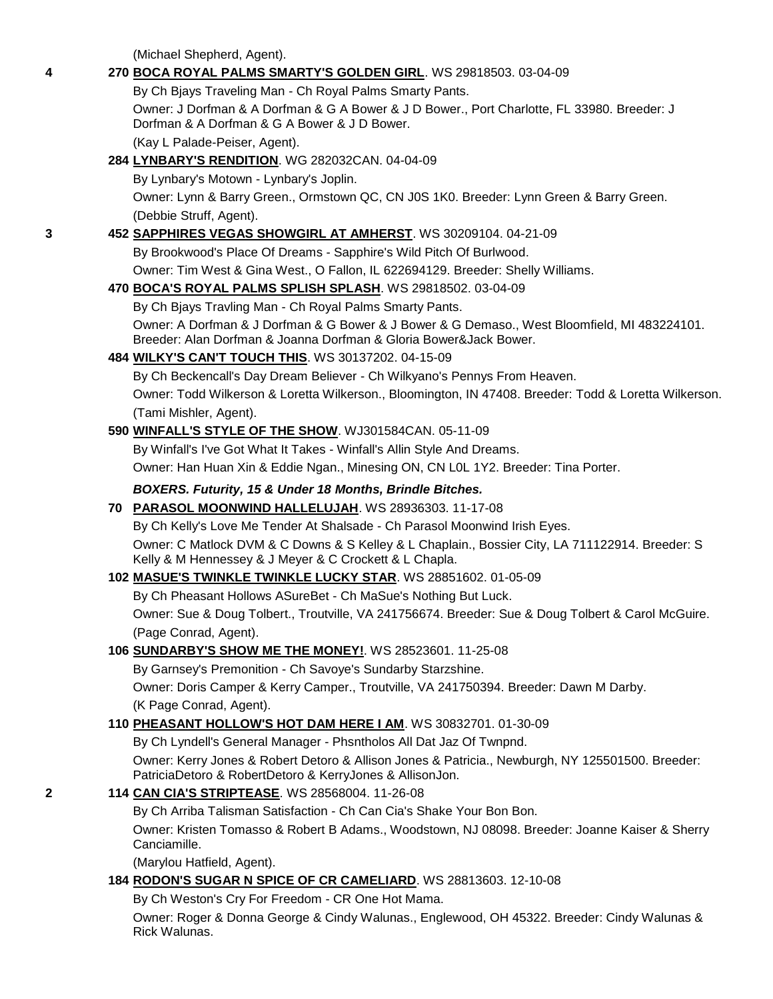(Michael Shepherd, Agent).

| 4 | 270 BOCA ROYAL PALMS SMARTY'S GOLDEN GIRL. WS 29818503. 03-04-09                                                                                                  |
|---|-------------------------------------------------------------------------------------------------------------------------------------------------------------------|
|   | By Ch Bjays Traveling Man - Ch Royal Palms Smarty Pants.                                                                                                          |
|   | Owner: J Dorfman & A Dorfman & G A Bower & J D Bower., Port Charlotte, FL 33980. Breeder: J<br>Dorfman & A Dorfman & G A Bower & J D Bower.                       |
|   | (Kay L Palade-Peiser, Agent).                                                                                                                                     |
|   | 284 LYNBARY'S RENDITION. WG 282032CAN. 04-04-09                                                                                                                   |
|   | By Lynbary's Motown - Lynbary's Joplin.                                                                                                                           |
|   | Owner: Lynn & Barry Green., Ormstown QC, CN J0S 1K0. Breeder: Lynn Green & Barry Green.                                                                           |
|   | (Debbie Struff, Agent).                                                                                                                                           |
| 3 | 452 SAPPHIRES VEGAS SHOWGIRL AT AMHERST. WS 30209104. 04-21-09                                                                                                    |
|   | By Brookwood's Place Of Dreams - Sapphire's Wild Pitch Of Burlwood.                                                                                               |
|   | Owner: Tim West & Gina West., O Fallon, IL 622694129. Breeder: Shelly Williams.                                                                                   |
|   | 470 BOCA'S ROYAL PALMS SPLISH SPLASH. WS 29818502. 03-04-09                                                                                                       |
|   | By Ch Bjays Travling Man - Ch Royal Palms Smarty Pants.                                                                                                           |
|   | Owner: A Dorfman & J Dorfman & G Bower & J Bower & G Demaso., West Bloomfield, MI 483224101.<br>Breeder: Alan Dorfman & Joanna Dorfman & Gloria Bower&Jack Bower. |
|   | 484 WILKY'S CAN'T TOUCH THIS. WS 30137202. 04-15-09                                                                                                               |
|   | By Ch Beckencall's Day Dream Believer - Ch Wilkyano's Pennys From Heaven.                                                                                         |
|   | Owner: Todd Wilkerson & Loretta Wilkerson., Bloomington, IN 47408. Breeder: Todd & Loretta Wilkerson.                                                             |
|   | (Tami Mishler, Agent).                                                                                                                                            |
|   | 590 WINFALL'S STYLE OF THE SHOW. WJ301584CAN. 05-11-09                                                                                                            |
|   | By Winfall's I've Got What It Takes - Winfall's Allin Style And Dreams.                                                                                           |
|   | Owner: Han Huan Xin & Eddie Ngan., Minesing ON, CN L0L 1Y2. Breeder: Tina Porter.                                                                                 |
|   | BOXERS. Futurity, 15 & Under 18 Months, Brindle Bitches.                                                                                                          |
|   | 70 PARASOL MOONWIND HALLELUJAH. WS 28936303. 11-17-08                                                                                                             |
|   | By Ch Kelly's Love Me Tender At Shalsade - Ch Parasol Moonwind Irish Eyes.                                                                                        |
|   | Owner: C Matlock DVM & C Downs & S Kelley & L Chaplain., Bossier City, LA 711122914. Breeder: S<br>Kelly & M Hennessey & J Meyer & C Crockett & L Chapla.         |
|   | 102 MASUE'S TWINKLE TWINKLE LUCKY STAR. WS 28851602. 01-05-09                                                                                                     |
|   | By Ch Pheasant Hollows ASureBet - Ch MaSue's Nothing But Luck.                                                                                                    |
|   | Owner: Sue & Doug Tolbert., Troutville, VA 241756674. Breeder: Sue & Doug Tolbert & Carol McGuire.                                                                |
|   | (Page Conrad, Agent).                                                                                                                                             |
|   | 106 SUNDARBY'S SHOW ME THE MONEY! WS 28523601. 11-25-08                                                                                                           |
|   | By Garnsey's Premonition - Ch Savoye's Sundarby Starzshine.                                                                                                       |
|   | Owner: Doris Camper & Kerry Camper., Troutville, VA 241750394. Breeder: Dawn M Darby.                                                                             |
|   | (K Page Conrad, Agent).                                                                                                                                           |
|   | 110 PHEASANT HOLLOW'S HOT DAM HERE I AM. WS 30832701. 01-30-09                                                                                                    |
|   | By Ch Lyndell's General Manager - Phsntholos All Dat Jaz Of Twnpnd.                                                                                               |
|   | Owner: Kerry Jones & Robert Detoro & Allison Jones & Patricia., Newburgh, NY 125501500. Breeder:<br>PatriciaDetoro & RobertDetoro & KerryJones & AllisonJon.      |
| 2 | 114 CAN CIA'S STRIPTEASE. WS 28568004. 11-26-08                                                                                                                   |
|   | By Ch Arriba Talisman Satisfaction - Ch Can Cia's Shake Your Bon Bon.                                                                                             |
|   | Owner: Kristen Tomasso & Robert B Adams., Woodstown, NJ 08098. Breeder: Joanne Kaiser & Sherry<br>Canciamille.                                                    |
|   | (Marylou Hatfield, Agent).                                                                                                                                        |
|   | 184 RODON'S SUGAR N SPICE OF CR CAMELIARD. WS 28813603. 12-10-08                                                                                                  |
|   | By Ch Weston's Cry For Freedom - CR One Hot Mama.                                                                                                                 |
|   | Owner: Roger & Donna George & Cindy Walunas., Englewood, OH 45322. Breeder: Cindy Walunas &<br>Rick Walunas.                                                      |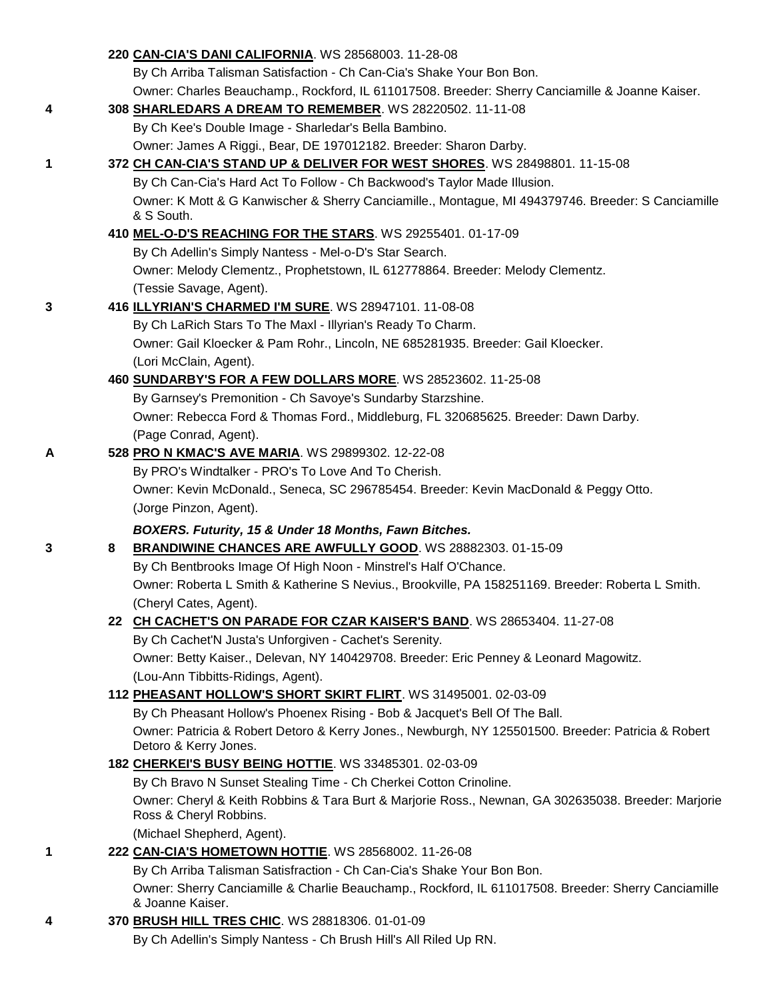|   |   | 220 CAN-CIA'S DANI CALIFORNIA. WS 28568003. 11-28-08                                                                          |
|---|---|-------------------------------------------------------------------------------------------------------------------------------|
|   |   | By Ch Arriba Talisman Satisfaction - Ch Can-Cia's Shake Your Bon Bon.                                                         |
|   |   | Owner: Charles Beauchamp., Rockford, IL 611017508. Breeder: Sherry Canciamille & Joanne Kaiser.                               |
| 4 |   | 308 SHARLEDARS A DREAM TO REMEMBER. WS 28220502. 11-11-08                                                                     |
|   |   | By Ch Kee's Double Image - Sharledar's Bella Bambino.                                                                         |
|   |   | Owner: James A Riggi., Bear, DE 197012182. Breeder: Sharon Darby.                                                             |
| 1 |   | 372 CH CAN-CIA'S STAND UP & DELIVER FOR WEST SHORES. WS 28498801. 11-15-08                                                    |
|   |   | By Ch Can-Cia's Hard Act To Follow - Ch Backwood's Taylor Made Illusion.                                                      |
|   |   | Owner: K Mott & G Kanwischer & Sherry Canciamille., Montague, MI 494379746. Breeder: S Canciamille                            |
|   |   | & S South.                                                                                                                    |
|   |   | 410 MEL-O-D'S REACHING FOR THE STARS. WS 29255401. 01-17-09                                                                   |
|   |   | By Ch Adellin's Simply Nantess - Mel-o-D's Star Search.                                                                       |
|   |   | Owner: Melody Clementz., Prophetstown, IL 612778864. Breeder: Melody Clementz.                                                |
|   |   | (Tessie Savage, Agent).                                                                                                       |
| 3 |   | 416 ILLYRIAN'S CHARMED I'M SURE. WS 28947101. 11-08-08                                                                        |
|   |   | By Ch LaRich Stars To The Maxl - Illyrian's Ready To Charm.                                                                   |
|   |   | Owner: Gail Kloecker & Pam Rohr., Lincoln, NE 685281935. Breeder: Gail Kloecker.                                              |
|   |   | (Lori McClain, Agent).                                                                                                        |
|   |   | 460 SUNDARBY'S FOR A FEW DOLLARS MORE. WS 28523602. 11-25-08                                                                  |
|   |   | By Garnsey's Premonition - Ch Savoye's Sundarby Starzshine.                                                                   |
|   |   |                                                                                                                               |
|   |   | Owner: Rebecca Ford & Thomas Ford., Middleburg, FL 320685625. Breeder: Dawn Darby.                                            |
|   |   | (Page Conrad, Agent).                                                                                                         |
| Α |   | 528 PRO N KMAC'S AVE MARIA. WS 29899302. 12-22-08                                                                             |
|   |   | By PRO's Windtalker - PRO's To Love And To Cherish.                                                                           |
|   |   | Owner: Kevin McDonald., Seneca, SC 296785454. Breeder: Kevin MacDonald & Peggy Otto.                                          |
|   |   | (Jorge Pinzon, Agent).                                                                                                        |
|   |   | BOXERS. Futurity, 15 & Under 18 Months, Fawn Bitches.                                                                         |
| 3 | 8 | BRANDIWINE CHANCES ARE AWFULLY GOOD. WS 28882303. 01-15-09                                                                    |
|   |   | By Ch Bentbrooks Image Of High Noon - Minstrel's Half O'Chance.                                                               |
|   |   | Owner: Roberta L Smith & Katherine S Nevius., Brookville, PA 158251169. Breeder: Roberta L Smith.                             |
|   |   | (Cheryl Cates, Agent).                                                                                                        |
|   |   | 22 CH CACHET'S ON PARADE FOR CZAR KAISER'S BAND. WS 28653404. 11-27-08                                                        |
|   |   | By Ch Cachet'N Justa's Unforgiven - Cachet's Serenity.                                                                        |
|   |   | Owner: Betty Kaiser., Delevan, NY 140429708. Breeder: Eric Penney & Leonard Magowitz.                                         |
|   |   | (Lou-Ann Tibbitts-Ridings, Agent).                                                                                            |
|   |   | 112 PHEASANT HOLLOW'S SHORT SKIRT FLIRT. WS 31495001. 02-03-09                                                                |
|   |   | By Ch Pheasant Hollow's Phoenex Rising - Bob & Jacquet's Bell Of The Ball.                                                    |
|   |   | Owner: Patricia & Robert Detoro & Kerry Jones., Newburgh, NY 125501500. Breeder: Patricia & Robert                            |
|   |   | Detoro & Kerry Jones.                                                                                                         |
|   |   | 182 CHERKEI'S BUSY BEING HOTTIE. WS 33485301. 02-03-09                                                                        |
|   |   | By Ch Bravo N Sunset Stealing Time - Ch Cherkei Cotton Crinoline.                                                             |
|   |   | Owner: Cheryl & Keith Robbins & Tara Burt & Marjorie Ross., Newnan, GA 302635038. Breeder: Marjorie<br>Ross & Cheryl Robbins. |
|   |   | (Michael Shepherd, Agent).                                                                                                    |
| 1 |   | 222 CAN-CIA'S HOMETOWN HOTTIE. WS 28568002. 11-26-08                                                                          |
|   |   | By Ch Arriba Talisman Satisfraction - Ch Can-Cia's Shake Your Bon Bon.                                                        |
|   |   | Owner: Sherry Canciamille & Charlie Beauchamp., Rockford, IL 611017508. Breeder: Sherry Canciamille<br>& Joanne Kaiser.       |
| 4 |   | 370 BRUSH HILL TRES CHIC. WS 28818306. 01-01-09                                                                               |
|   |   | By Ch Adellin's Simply Nantess - Ch Brush Hill's All Riled Up RN.                                                             |
|   |   |                                                                                                                               |